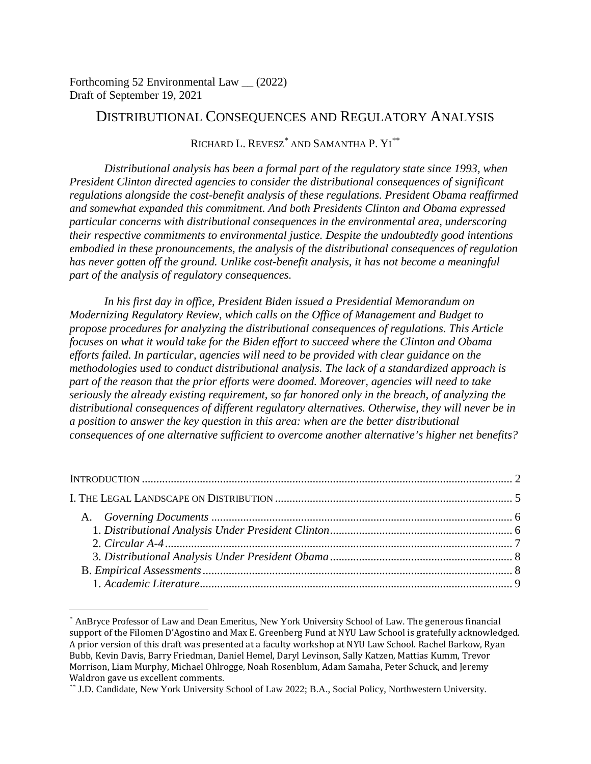Forthcoming 52 Environmental Law \_\_ (2022) Draft of September 19, 2021

# DISTRIBUTIONAL CONSEQUENCES AND REGULATORY ANALYSIS

## RICHARD L. REVESZ[\\*](#page-0-0) AND SAMANTHA P. YI [\\*\\*](#page-0-1)

*Distributional analysis has been a formal part of the regulatory state since 1993, when President Clinton directed agencies to consider the distributional consequences of significant regulations alongside the cost-benefit analysis of these regulations. President Obama reaffirmed and somewhat expanded this commitment. And both Presidents Clinton and Obama expressed particular concerns with distributional consequences in the environmental area, underscoring their respective commitments to environmental justice. Despite the undoubtedly good intentions embodied in these pronouncements, the analysis of the distributional consequences of regulation has never gotten off the ground. Unlike cost-benefit analysis, it has not become a meaningful part of the analysis of regulatory consequences.*

*In his first day in office, President Biden issued a Presidential Memorandum on Modernizing Regulatory Review, which calls on the Office of Management and Budget to propose procedures for analyzing the distributional consequences of regulations. This Article focuses on what it would take for the Biden effort to succeed where the Clinton and Obama efforts failed. In particular, agencies will need to be provided with clear guidance on the methodologies used to conduct distributional analysis. The lack of a standardized approach is part of the reason that the prior efforts were doomed. Moreover, agencies will need to take seriously the already existing requirement, so far honored only in the breach, of analyzing the distributional consequences of different regulatory alternatives. Otherwise, they will never be in a position to answer the key question in this area: when are the better distributional consequences of one alternative sufficient to overcome another alternative's higher net benefits?*

<span id="page-0-0"></span> <sup>\*</sup> AnBryce Professor of Law and Dean Emeritus, New York University School of Law. The generous financial support of the Filomen D'Agostino and Max E. Greenberg Fund at NYU Law School is gratefully acknowledged. A prior version of this draft was presented at a faculty workshop at NYU Law School. Rachel Barkow, Ryan Bubb, Kevin Davis, Barry Friedman, Daniel Hemel, Daryl Levinson, Sally Katzen, Mattias Kumm, Trevor Morrison, Liam Murphy, Michael Ohlrogge, Noah Rosenblum, Adam Samaha, Peter Schuck, and Jeremy Waldron gave us excellent comments.

<span id="page-0-1"></span><sup>\*\*</sup> J.D. Candidate, New York University School of Law 2022; B.A., Social Policy, Northwestern University.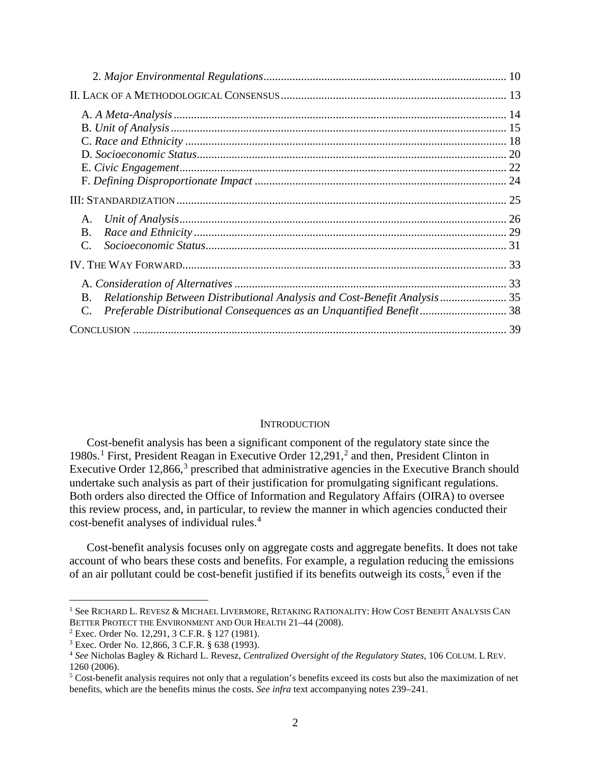| A.                                                                                      |  |
|-----------------------------------------------------------------------------------------|--|
| <b>B.</b>                                                                               |  |
| $C_{\cdot}$                                                                             |  |
|                                                                                         |  |
|                                                                                         |  |
| Relationship Between Distributional Analysis and Cost-Benefit Analysis  35<br><b>B.</b> |  |
| Preferable Distributional Consequences as an Unquantified Benefit 38                    |  |
|                                                                                         |  |

### <span id="page-1-9"></span><span id="page-1-7"></span><span id="page-1-6"></span>**INTRODUCTION**

<span id="page-1-8"></span><span id="page-1-0"></span>Cost-benefit analysis has been a significant component of the regulatory state since the [1](#page-1-1)980s.<sup>1</sup> First, President Reagan in Executive Order 1[2](#page-1-2),291,<sup>2</sup> and then, President Clinton in Executive Order 12,866,<sup>[3](#page-1-3)</sup> prescribed that administrative agencies in the Executive Branch should undertake such analysis as part of their justification for promulgating significant regulations. Both orders also directed the Office of Information and Regulatory Affairs (OIRA) to oversee this review process, and, in particular, to review the manner in which agencies conducted their cost-benefit analyses of individual rules. [4](#page-1-4)

Cost-benefit analysis focuses only on aggregate costs and aggregate benefits. It does not take account of who bears these costs and benefits. For example, a regulation reducing the emissions of an air pollutant could be cost-benefit justified if its benefits outweigh its costs,<sup>[5](#page-1-5)</sup> even if the

<span id="page-1-1"></span> <sup>1</sup> See RICHARD L. REVESZ & MICHAEL LIVERMORE, RETAKING RATIONALITY: HOW COST BENEFIT ANALYSIS CAN BETTER PROTECT THE ENVIRONMENT AND OUR HEALTH 21–44 (2008).

<span id="page-1-2"></span><sup>2</sup> Exec. Order No. 12,291, 3 C.F.R. § 127 (1981).

<span id="page-1-3"></span><sup>3</sup> Exec. Order No. 12,866, 3 C.F.R. § 638 (1993).

<span id="page-1-4"></span><sup>4</sup> *See* Nicholas Bagley & Richard L. Revesz, *Centralized Oversight of the Regulatory States*, 106 COLUM. L REV. 1260 (2006).

<span id="page-1-5"></span><sup>5</sup> Cost-benefit analysis requires not only that a regulation's benefits exceed its costs but also the maximization of net benefits, which are the benefits minus the costs. *See infra* text accompanying notes [239](#page-32-2)[–241.](#page-32-3)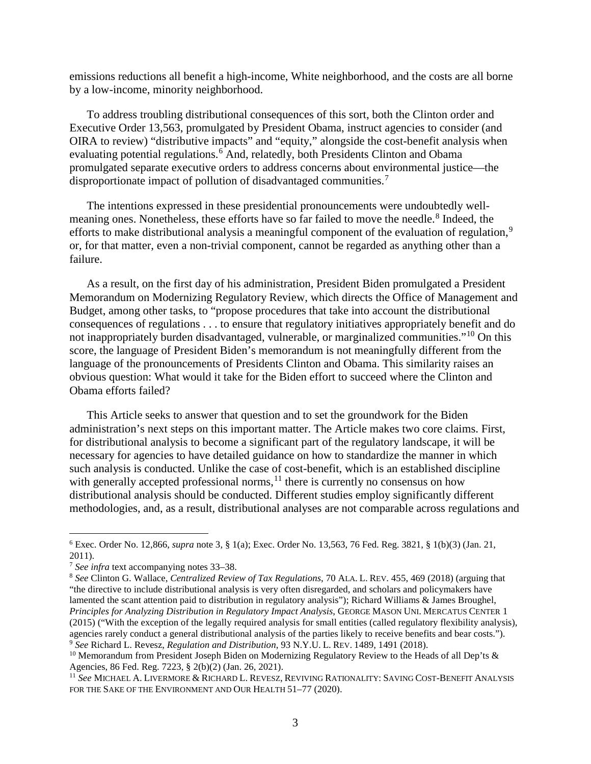emissions reductions all benefit a high-income, White neighborhood, and the costs are all borne by a low-income, minority neighborhood.

<span id="page-2-7"></span>To address troubling distributional consequences of this sort, both the Clinton order and Executive Order 13,563, promulgated by President Obama, instruct agencies to consider (and OIRA to review) "distributive impacts" and "equity," alongside the cost-benefit analysis when evaluating potential regulations.<sup>[6](#page-2-0)</sup> And, relatedly, both Presidents Clinton and Obama promulgated separate executive orders to address concerns about environmental justice—the disproportionate impact of pollution of disadvantaged communities.<sup>[7](#page-2-1)</sup>

<span id="page-2-9"></span><span id="page-2-6"></span>The intentions expressed in these presidential pronouncements were undoubtedly well-meaning ones. Nonetheless, these efforts have so far failed to move the needle.<sup>[8](#page-2-2)</sup> Indeed, the efforts to make distributional analysis a meaningful component of the evaluation of regulation,<sup>[9](#page-2-3)</sup> or, for that matter, even a non-trivial component, cannot be regarded as anything other than a failure.

<span id="page-2-8"></span>As a result, on the first day of his administration, President Biden promulgated a President Memorandum on Modernizing Regulatory Review, which directs the Office of Management and Budget, among other tasks, to "propose procedures that take into account the distributional consequences of regulations . . . to ensure that regulatory initiatives appropriately benefit and do not inappropriately burden disadvantaged, vulnerable, or marginalized communities."[10](#page-2-4) On this score, the language of President Biden's memorandum is not meaningfully different from the language of the pronouncements of Presidents Clinton and Obama. This similarity raises an obvious question: What would it take for the Biden effort to succeed where the Clinton and Obama efforts failed?

This Article seeks to answer that question and to set the groundwork for the Biden administration's next steps on this important matter. The Article makes two core claims. First, for distributional analysis to become a significant part of the regulatory landscape, it will be necessary for agencies to have detailed guidance on how to standardize the manner in which such analysis is conducted. Unlike the case of cost-benefit, which is an established discipline with generally accepted professional norms, $11$  there is currently no consensus on how distributional analysis should be conducted. Different studies employ significantly different methodologies, and, as a result, distributional analyses are not comparable across regulations and

<span id="page-2-0"></span> <sup>6</sup> Exec. Order No. 12,866, *supra* note [3,](#page-1-6) § 1(a); Exec. Order No. 13,563, 76 Fed. Reg. 3821, § 1(b)(3) (Jan. 21, 2011).

<span id="page-2-1"></span><sup>7</sup> *See infra* text accompanying notes [33–](#page-5-2)[38.](#page-6-1)

<span id="page-2-2"></span><sup>8</sup> *See* Clinton G. Wallace, *Centralized Review of Tax Regulations*, 70 ALA. L. REV. 455, 469 (2018) (arguing that "the directive to include distributional analysis is very often disregarded, and scholars and policymakers have lamented the scant attention paid to distribution in regulatory analysis"); Richard Williams & James Broughel, *Principles for Analyzing Distribution in Regulatory Impact Analysis*, GEORGE MASON UNI. MERCATUS CENTER 1 (2015) ("With the exception of the legally required analysis for small entities (called regulatory flexibility analysis), agencies rarely conduct a general distributional analysis of the parties likely to receive benefits and bear costs."). <sup>9</sup> *See* Richard L. Revesz, *Regulation and Distribution*, 93 N.Y.U. L. REV. 1489, 1491 (2018).

<span id="page-2-4"></span><span id="page-2-3"></span><sup>&</sup>lt;sup>10</sup> Memorandum from President Joseph Biden on Modernizing Regulatory Review to the Heads of all Dep'ts & Agencies, 86 Fed. Reg. 7223, § 2(b)(2) (Jan. 26, 2021).

<span id="page-2-5"></span><sup>11</sup> *See* MICHAEL A. LIVERMORE & RICHARD L. REVESZ, REVIVING RATIONALITY: SAVING COST-BENEFIT ANALYSIS FOR THE SAKE OF THE ENVIRONMENT AND OUR HEALTH 51-77 (2020).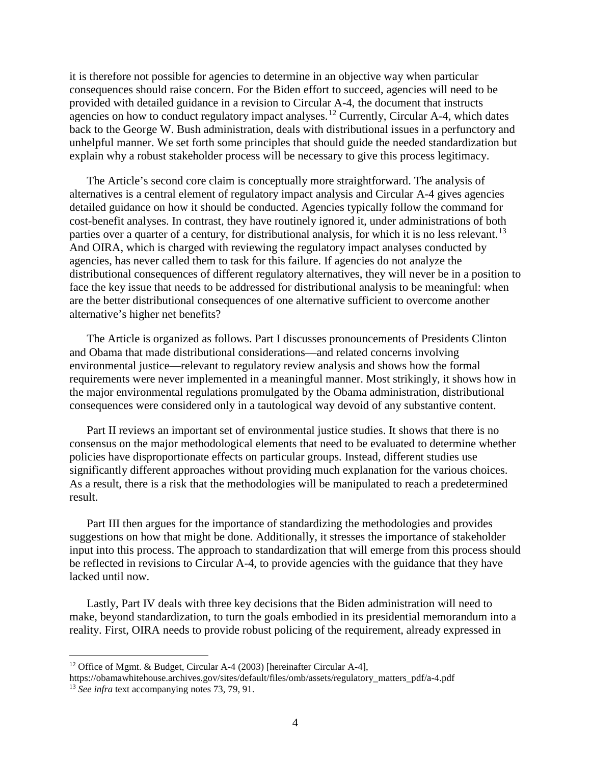<span id="page-3-2"></span>it is therefore not possible for agencies to determine in an objective way when particular consequences should raise concern. For the Biden effort to succeed, agencies will need to be provided with detailed guidance in a revision to Circular A-4, the document that instructs agencies on how to conduct regulatory impact analyses.<sup>[12](#page-3-0)</sup> Currently, Circular A-4, which dates back to the George W. Bush administration, deals with distributional issues in a perfunctory and unhelpful manner. We set forth some principles that should guide the needed standardization but explain why a robust stakeholder process will be necessary to give this process legitimacy.

The Article's second core claim is conceptually more straightforward. The analysis of alternatives is a central element of regulatory impact analysis and Circular A-4 gives agencies detailed guidance on how it should be conducted. Agencies typically follow the command for cost-benefit analyses. In contrast, they have routinely ignored it, under administrations of both parties over a quarter of a century, for distributional analysis, for which it is no less relevant.<sup>[13](#page-3-1)</sup> And OIRA, which is charged with reviewing the regulatory impact analyses conducted by agencies, has never called them to task for this failure. If agencies do not analyze the distributional consequences of different regulatory alternatives, they will never be in a position to face the key issue that needs to be addressed for distributional analysis to be meaningful: when are the better distributional consequences of one alternative sufficient to overcome another alternative's higher net benefits?

The Article is organized as follows. Part I discusses pronouncements of Presidents Clinton and Obama that made distributional considerations—and related concerns involving environmental justice—relevant to regulatory review analysis and shows how the formal requirements were never implemented in a meaningful manner. Most strikingly, it shows how in the major environmental regulations promulgated by the Obama administration, distributional consequences were considered only in a tautological way devoid of any substantive content.

Part II reviews an important set of environmental justice studies. It shows that there is no consensus on the major methodological elements that need to be evaluated to determine whether policies have disproportionate effects on particular groups. Instead, different studies use significantly different approaches without providing much explanation for the various choices. As a result, there is a risk that the methodologies will be manipulated to reach a predetermined result.

Part III then argues for the importance of standardizing the methodologies and provides suggestions on how that might be done. Additionally, it stresses the importance of stakeholder input into this process. The approach to standardization that will emerge from this process should be reflected in revisions to Circular A-4, to provide agencies with the guidance that they have lacked until now.

Lastly, Part IV deals with three key decisions that the Biden administration will need to make, beyond standardization, to turn the goals embodied in its presidential memorandum into a reality. First, OIRA needs to provide robust policing of the requirement, already expressed in

<span id="page-3-0"></span> <sup>12</sup> Office of Mgmt. & Budget, Circular A-4 (2003) [hereinafter Circular A-4],

<span id="page-3-1"></span>https://obamawhitehouse.archives.gov/sites/default/files/omb/assets/regulatory\_matters\_pdf/a-4.pdf <sup>13</sup> *See infra* text accompanying notes [73,](#page-10-0) [79,](#page-11-0) [91.](#page-12-1)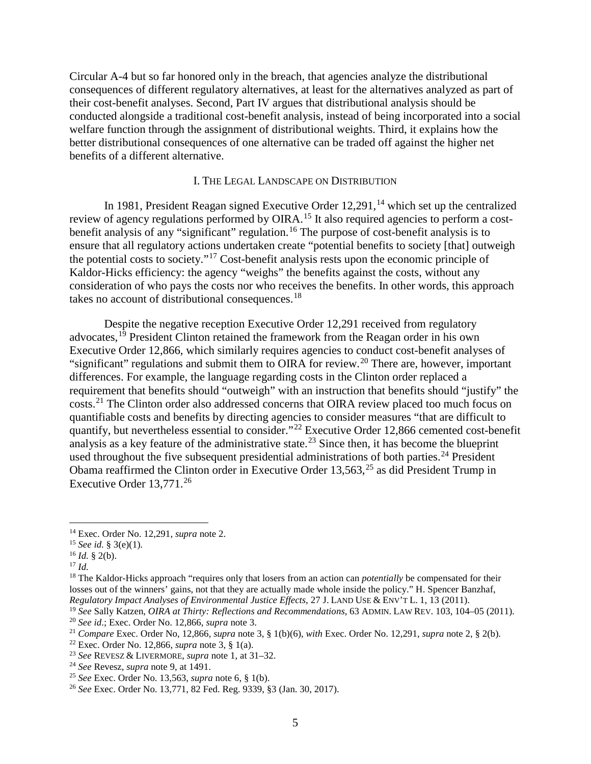Circular A-4 but so far honored only in the breach, that agencies analyze the distributional consequences of different regulatory alternatives, at least for the alternatives analyzed as part of their cost-benefit analyses. Second, Part IV argues that distributional analysis should be conducted alongside a traditional cost-benefit analysis, instead of being incorporated into a social welfare function through the assignment of distributional weights. Third, it explains how the better distributional consequences of one alternative can be traded off against the higher net benefits of a different alternative.

#### I. THE LEGAL LANDSCAPE ON DISTRIBUTION

<span id="page-4-0"></span>In 1981, President Reagan signed Executive Order 12,291,<sup>[14](#page-4-1)</sup> which set up the centralized review of agency regulations performed by OIRA.<sup>[15](#page-4-2)</sup> It also required agencies to perform a cost-benefit analysis of any "significant" regulation.<sup>[16](#page-4-3)</sup> The purpose of cost-benefit analysis is to ensure that all regulatory actions undertaken create "potential benefits to society [that] outweigh the potential costs to society."[17](#page-4-4) Cost-benefit analysis rests upon the economic principle of Kaldor-Hicks efficiency: the agency "weighs" the benefits against the costs, without any consideration of who pays the costs nor who receives the benefits. In other words, this approach takes no account of distributional consequences.<sup>[18](#page-4-5)</sup>

Despite the negative reception Executive Order 12,291 received from regulatory advocates,<sup>[19](#page-4-6)</sup> President Clinton retained the framework from the Reagan order in his own Executive Order 12,866, which similarly requires agencies to conduct cost-benefit analyses of "significant" regulations and submit them to OIRA for review.<sup>[20](#page-4-7)</sup> There are, however, important differences. For example, the language regarding costs in the Clinton order replaced a requirement that benefits should "outweigh" with an instruction that benefits should "justify" the costs.[21](#page-4-8) The Clinton order also addressed concerns that OIRA review placed too much focus on quantifiable costs and benefits by directing agencies to consider measures "that are difficult to quantify, but nevertheless essential to consider."[22](#page-4-9) Executive Order 12,866 cemented cost-benefit analysis as a key feature of the administrative state.<sup>[23](#page-4-10)</sup> Since then, it has become the blueprint used throughout the five subsequent presidential administrations of both parties.<sup>[24](#page-4-11)</sup> President Obama reaffirmed the Clinton order in Executive Order  $13,563$ ,  $25$  as did President Trump in Executive Order  $13,771$ <sup>[26](#page-4-13)</sup>

<span id="page-4-1"></span> <sup>14</sup> Exec. Order No. 12,291, *supra* not[e 2.](#page-1-7)

<span id="page-4-2"></span><sup>15</sup> *See id.* § 3(e)(1).

<span id="page-4-3"></span><sup>16</sup> *Id.* § 2(b).

<span id="page-4-4"></span><sup>17</sup> *Id.*

<span id="page-4-5"></span><sup>&</sup>lt;sup>18</sup> The Kaldor-Hicks approach "requires only that losers from an action can *potentially* be compensated for their losses out of the winners' gains, not that they are actually made whole inside the policy." H. Spencer Banzhaf, *Regulatory Impact Analyses of Environmental Justice Effects*, 27 J. LAND USE & ENV'T L. 1, 13 (2011).

<span id="page-4-6"></span><sup>19</sup> *See* Sally Katzen, *OIRA at Thirty: Reflections and Recommendations*, 63 ADMIN. LAW REV. 103, 104–05 (2011).

<span id="page-4-7"></span><sup>20</sup> *See id*.; Exec. Order No. 12,866, *supra* not[e 3.](#page-1-6)

<span id="page-4-8"></span><sup>21</sup> *Compare* Exec. Order No, 12,866*, supra* note [3,](#page-1-6) § 1(b)(6), *with* Exec. Order No. 12,291, *supra* note [2,](#page-1-7) § 2(b).

<span id="page-4-9"></span><sup>22</sup> Exec. Order No. 12,866, *supra* note [3,](#page-1-6) § 1(a).

<span id="page-4-10"></span><sup>23</sup> *See* REVESZ & LIVERMORE, *supra* not[e 1,](#page-1-8) at 31–32.

<span id="page-4-11"></span><sup>24</sup> *See* Revesz, *supra* note [9,](#page-2-6) at 1491.

<span id="page-4-12"></span><sup>25</sup> *See* Exec. Order No. 13,563, *supra* note [6,](#page-2-7) § 1(b).

<span id="page-4-13"></span><sup>26</sup> *See* Exec. Order No. 13,771, 82 Fed. Reg. 9339, §3 (Jan. 30, 2017).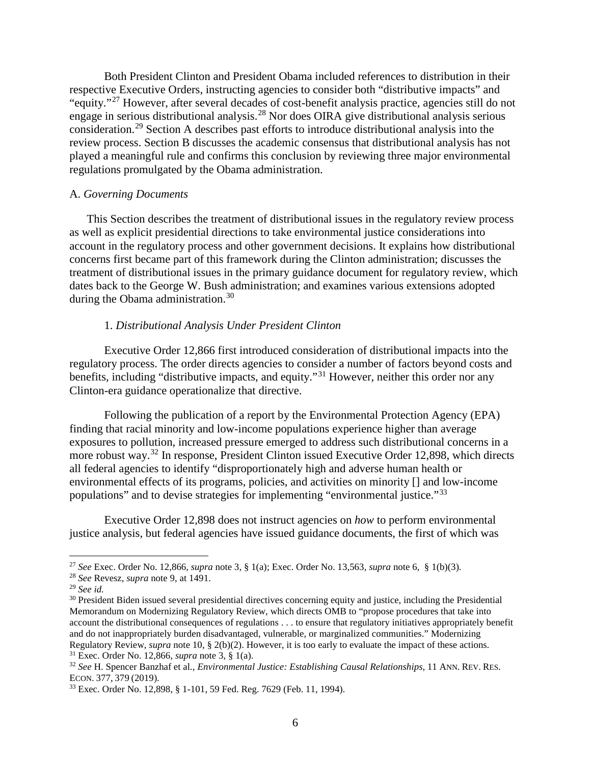Both President Clinton and President Obama included references to distribution in their respective Executive Orders, instructing agencies to consider both "distributive impacts" and "equity."[27](#page-5-3) However, after several decades of cost-benefit analysis practice, agencies still do not engage in serious distributional analysis.<sup>[28](#page-5-4)</sup> Nor does OIRA give distributional analysis serious consideration.[29](#page-5-5) Section A describes past efforts to introduce distributional analysis into the review process. Section B discusses the academic consensus that distributional analysis has not played a meaningful rule and confirms this conclusion by reviewing three major environmental regulations promulgated by the Obama administration.

#### <span id="page-5-0"></span>A. *Governing Documents*

This Section describes the treatment of distributional issues in the regulatory review process as well as explicit presidential directions to take environmental justice considerations into account in the regulatory process and other government decisions. It explains how distributional concerns first became part of this framework during the Clinton administration; discusses the treatment of distributional issues in the primary guidance document for regulatory review, which dates back to the George W. Bush administration; and examines various extensions adopted during the Obama administration.<sup>[30](#page-5-6)</sup>

#### 1. *Distributional Analysis Under President Clinton*

<span id="page-5-1"></span>Executive Order 12,866 first introduced consideration of distributional impacts into the regulatory process. The order directs agencies to consider a number of factors beyond costs and benefits, including "distributive impacts, and equity."[31](#page-5-7) However, neither this order nor any Clinton-era guidance operationalize that directive.

<span id="page-5-10"></span>Following the publication of a report by the Environmental Protection Agency (EPA) finding that racial minority and low-income populations experience higher than average exposures to pollution, increased pressure emerged to address such distributional concerns in a more robust way.<sup>[32](#page-5-8)</sup> In response, President Clinton issued Executive Order 12,898, which directs all federal agencies to identify "disproportionately high and adverse human health or environmental effects of its programs, policies, and activities on minority [] and low-income populations" and to devise strategies for implementing "environmental justice."[33](#page-5-9)

<span id="page-5-2"></span>Executive Order 12,898 does not instruct agencies on *how* to perform environmental justice analysis, but federal agencies have issued guidance documents, the first of which was

<span id="page-5-3"></span> <sup>27</sup> *See* Exec. Order No. 12,866, *supra* note [3,](#page-1-6) § 1(a); Exec. Order No. 13,563, *supra* note [6,](#page-2-7) § 1(b)(3).

<span id="page-5-4"></span><sup>28</sup> *See* Revesz, *supra* note [9,](#page-2-6) at 1491.

<span id="page-5-5"></span><sup>29</sup> *See id.*

<span id="page-5-6"></span><sup>&</sup>lt;sup>30</sup> President Biden issued several presidential directives concerning equity and justice, including the Presidential Memorandum on Modernizing Regulatory Review, which directs OMB to "propose procedures that take into account the distributional consequences of regulations . . . to ensure that regulatory initiatives appropriately benefit and do not inappropriately burden disadvantaged, vulnerable, or marginalized communities." Modernizing Regulatory Review, *supra* note [10,](#page-2-8) § 2(b)(2). However, it is too early to evaluate the impact of these actions. <sup>31</sup> Exec. Order No. 12,866, *supra* note [3,](#page-1-6) § 1(a).

<span id="page-5-8"></span><span id="page-5-7"></span><sup>32</sup> *See* H. Spencer Banzhaf et al., *Environmental Justice: Establishing Causal Relationships*, 11 ANN. REV. RES. ECON. 377, 379 (2019).

<span id="page-5-9"></span><sup>33</sup> Exec. Order No. 12,898, § 1-101, 59 Fed. Reg. 7629 (Feb. 11, 1994).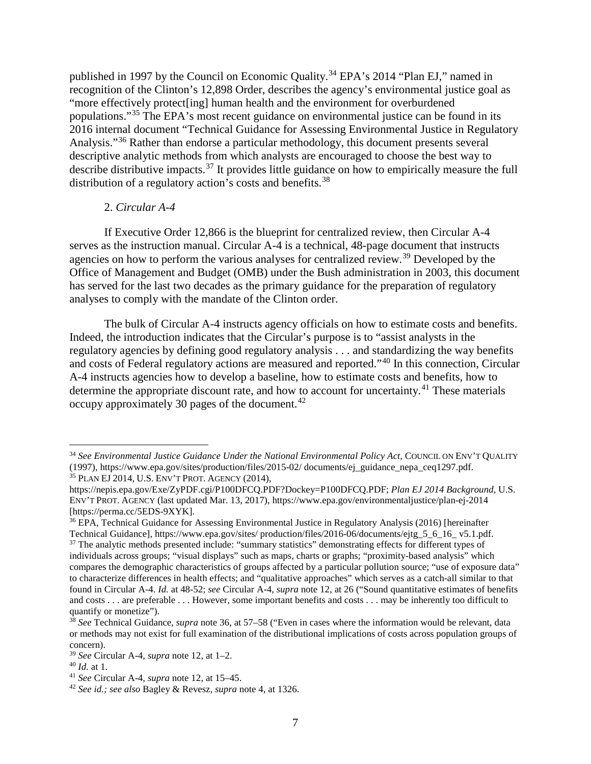published in 1997 by the Council on Economic Quality.<sup>[34](#page-6-3)</sup> EPA's 2014 "Plan EJ," named in recognition of the Clinton's 12,898 Order, describes the agency's environmental justice goal as "more effectively protect[ing] human health and the environment for overburdened populations."[35](#page-6-4) The EPA's most recent guidance on environmental justice can be found in its 2016 internal document "Technical Guidance for Assessing Environmental Justice in Regulatory Analysis."[36](#page-6-5) Rather than endorse a particular methodology, this document presents several descriptive analytic methods from which analysts are encouraged to choose the best way to describe distributive impacts.[37](#page-6-6) It provides little guidance on how to empirically measure the full distribution of a regulatory action's costs and benefits.<sup>[38](#page-6-7)</sup>

## <span id="page-6-12"></span><span id="page-6-2"></span><span id="page-6-1"></span>2. *Circular A-4*

<span id="page-6-0"></span>If Executive Order 12,866 is the blueprint for centralized review, then Circular A-4 serves as the instruction manual. Circular A-4 is a technical, 48-page document that instructs agencies on how to perform the various analyses for centralized review.<sup>[39](#page-6-8)</sup> Developed by the Office of Management and Budget (OMB) under the Bush administration in 2003, this document has served for the last two decades as the primary guidance for the preparation of regulatory analyses to comply with the mandate of the Clinton order.

The bulk of Circular A-4 instructs agency officials on how to estimate costs and benefits. Indeed, the introduction indicates that the Circular's purpose is to "assist analysts in the regulatory agencies by defining good regulatory analysis . . . and standardizing the way benefits and costs of Federal regulatory actions are measured and reported."[40](#page-6-9) In this connection, Circular A-4 instructs agencies how to develop a baseline, how to estimate costs and benefits, how to determine the appropriate discount rate, and how to account for uncertainty.<sup>[41](#page-6-10)</sup> These materials occupy approximately 30 pages of the document.<sup>[42](#page-6-11)</sup>

<span id="page-6-3"></span><sup>&</sup>lt;sup>34</sup> See Environmental Justice Guidance Under the National Environmental Policy Act, COUNCIL ON ENV'T QUALITY (1997), https://www.epa.gov/sites/production/files/2015-02/ documents/ej\_guidance\_nepa\_ceq1297.pdf. <sup>35</sup> PLAN EJ 2014, U.S. ENV'T PROT. AGENCY (2014),

<span id="page-6-4"></span>https://nepis.epa.gov/Exe/ZyPDF.cgi/P100DFCQ.PDF?Dockey=P100DFCQ.PDF; *Plan EJ 2014 Background*, U.S. ENV'T PROT. AGENCY (last updated Mar. 13, 2017), https://www.epa.gov/environmentaljustice/plan-ej-2014 [https://perma.cc/5EDS-9XYK].

<span id="page-6-6"></span><span id="page-6-5"></span><sup>36</sup> EPA, Technical Guidance for Assessing Environmental Justice in Regulatory Analysis (2016) [hereinafter Technical Guidance], https://www.epa.gov/sites/ production/files/2016-06/documents/ejtg\_5\_6\_16\_ v5.1.pdf. <sup>37</sup> The analytic methods presented include: "summary statistics" demonstrating effects for different types of individuals across groups; "visual displays" such as maps, charts or graphs; "proximity-based analysis" which compares the demographic characteristics of groups affected by a particular pollution source; "use of exposure data" to characterize differences in health effects; and "qualitative approaches" which serves as a catch-all similar to that found in Circular A-4. *Id.* at 48-52; *see* Circular A-4, *supra* note [12,](#page-3-2) at 26 ("Sound quantitative estimates of benefits and costs . . . are preferable . . . However, some important benefits and costs . . . may be inherently too difficult to quantify or monetize").

<span id="page-6-7"></span><sup>&</sup>lt;sup>38</sup> See Technical Guidance, *supra* not[e 36,](#page-6-2) at 57–58 ("Even in cases where the information would be relevant, data or methods may not exist for full examination of the distributional implications of costs across population groups of concern).

<span id="page-6-8"></span><sup>39</sup> *See* Circular A-4, *supra* note [12,](#page-3-2) at 1–2.

<span id="page-6-9"></span><sup>40</sup> *Id.* at 1.

<span id="page-6-10"></span><sup>41</sup> *See* Circular A-4, *supra* note [12,](#page-3-2) at 15–45.

<span id="page-6-11"></span><sup>42</sup> *See id.; see also* Bagley & Revesz, *supra* note [4,](#page-1-9) at 1326.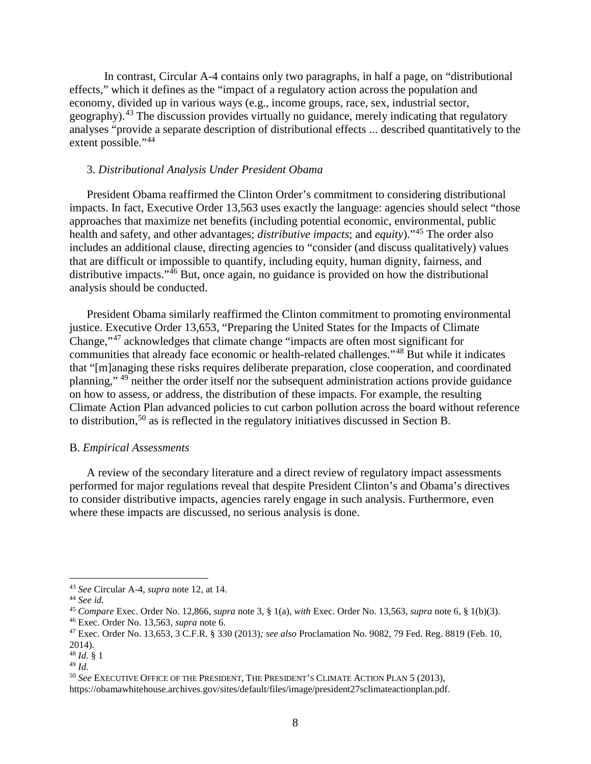In contrast, Circular A-4 contains only two paragraphs, in half a page, on "distributional effects," which it defines as the "impact of a regulatory action across the population and economy, divided up in various ways (e.g., income groups, race, sex, industrial sector, geography).<sup>[43](#page-7-2)</sup> The discussion provides virtually no guidance, merely indicating that regulatory analyses "provide a separate description of distributional effects ... described quantitatively to the extent possible."<sup>[44](#page-7-3)</sup>

## <span id="page-7-11"></span><span id="page-7-10"></span><span id="page-7-0"></span>3. *Distributional Analysis Under President Obama*

President Obama reaffirmed the Clinton Order's commitment to considering distributional impacts. In fact, Executive Order 13,563 uses exactly the language: agencies should select "those approaches that maximize net benefits (including potential economic, environmental, public health and safety, and other advantages; *distributive impacts*; and *equity*)."[45](#page-7-4) The order also includes an additional clause, directing agencies to "consider (and discuss qualitatively) values that are difficult or impossible to quantify, including equity, human dignity, fairness, and distributive impacts."<sup>[46](#page-7-5)</sup> But, once again, no guidance is provided on how the distributional analysis should be conducted.

President Obama similarly reaffirmed the Clinton commitment to promoting environmental justice. Executive Order 13,653, "Preparing the United States for the Impacts of Climate Change,"[47](#page-7-6) acknowledges that climate change "impacts are often most significant for communities that already face economic or health-related challenges."[48](#page-7-7) But while it indicates that "[m]anaging these risks requires deliberate preparation, close cooperation, and coordinated planning," [49](#page-7-8) neither the order itself nor the subsequent administration actions provide guidance on how to assess, or address, the distribution of these impacts. For example, the resulting Climate Action Plan advanced policies to cut carbon pollution across the board without reference to distribution,[50](#page-7-9) as is reflected in the regulatory initiatives discussed in Section B.

### <span id="page-7-12"></span><span id="page-7-1"></span>B. *Empirical Assessments*

A review of the secondary literature and a direct review of regulatory impact assessments performed for major regulations reveal that despite President Clinton's and Obama's directives to consider distributive impacts, agencies rarely engage in such analysis. Furthermore, even where these impacts are discussed, no serious analysis is done.

<span id="page-7-2"></span> <sup>43</sup> *See* Circular A-4, *supra* note [12,](#page-3-2) at 14.

<span id="page-7-3"></span><sup>44</sup> *See id.*

<span id="page-7-4"></span><sup>45</sup> *Compare* Exec. Order No. 12,866, *supra* note [3,](#page-1-6) § 1(a), *with* Exec. Order No. 13,563, *supra* note [6,](#page-2-7) § 1(b)(3).

<span id="page-7-5"></span><sup>46</sup> Exec. Order No. 13,563, *supra* note [6.](#page-2-7)

<span id="page-7-6"></span><sup>47</sup> Exec. Order No. 13,653, 3 C.F.R. § 330 (2013)*; see also* Proclamation No. 9082, 79 Fed. Reg. 8819 (Feb. 10, 2014).

<span id="page-7-7"></span><sup>48</sup> *Id.* § 1

<span id="page-7-8"></span><sup>49</sup> *Id.*

<span id="page-7-9"></span><sup>50</sup> *See* EXECUTIVE OFFICE OF THE PRESIDENT, THE PRESIDENT'S CLIMATE ACTION PLAN 5 (2013),

https://obamawhitehouse.archives.gov/sites/default/files/image/president27sclimateactionplan.pdf.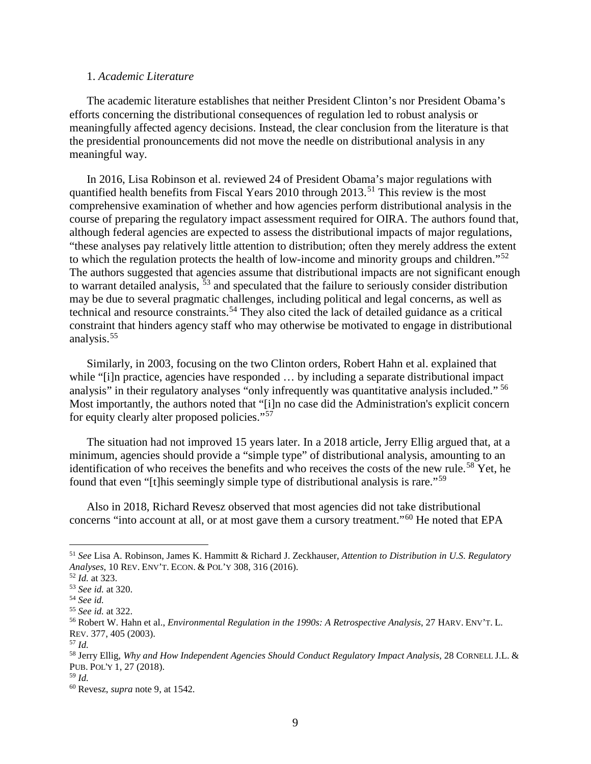### <span id="page-8-0"></span>1. *Academic Literature*

The academic literature establishes that neither President Clinton's nor President Obama's efforts concerning the distributional consequences of regulation led to robust analysis or meaningfully affected agency decisions. Instead, the clear conclusion from the literature is that the presidential pronouncements did not move the needle on distributional analysis in any meaningful way.

In 2016, Lisa Robinson et al. reviewed 24 of President Obama's major regulations with quantified health benefits from Fiscal Years 2010 through 2013.<sup>[51](#page-8-1)</sup> This review is the most comprehensive examination of whether and how agencies perform distributional analysis in the course of preparing the regulatory impact assessment required for OIRA. The authors found that, although federal agencies are expected to assess the distributional impacts of major regulations, "these analyses pay relatively little attention to distribution; often they merely address the extent to which the regulation protects the health of low-income and minority groups and children."<sup>[52](#page-8-2)</sup> The authors suggested that agencies assume that distributional impacts are not significant enough to warrant detailed analysis,  $\frac{53}{3}$  $\frac{53}{3}$  $\frac{53}{3}$  and speculated that the failure to seriously consider distribution may be due to several pragmatic challenges, including political and legal concerns, as well as technical and resource constraints.<sup>[54](#page-8-4)</sup> They also cited the lack of detailed guidance as a critical constraint that hinders agency staff who may otherwise be motivated to engage in distributional analysis.<sup>[55](#page-8-5)</sup>

Similarly, in 2003, focusing on the two Clinton orders, Robert Hahn et al. explained that while "[i]n practice, agencies have responded ... by including a separate distributional impact analysis" in their regulatory analyses "only infrequently was quantitative analysis included." <sup>[56](#page-8-6)</sup> Most importantly, the authors noted that "[i]n no case did the Administration's explicit concern for equity clearly alter proposed policies."[57](#page-8-7)

The situation had not improved 15 years later. In a 2018 article, Jerry Ellig argued that, at a minimum, agencies should provide a "simple type" of distributional analysis, amounting to an identification of who receives the benefits and who receives the costs of the new rule.<sup>[58](#page-8-8)</sup> Yet, he found that even "[t]his seemingly simple type of distributional analysis is rare."[59](#page-8-9)

Also in 2018, Richard Revesz observed that most agencies did not take distributional concerns "into account at all, or at most gave them a cursory treatment."[60](#page-8-10) He noted that EPA

<span id="page-8-1"></span> <sup>51</sup> *See* Lisa A. Robinson, James K. Hammitt & Richard J. Zeckhauser, *Attention to Distribution in U.S. Regulatory Analyses*, 10 REV. ENV'T. ECON. & POL'Y 308, 316 (2016).

<span id="page-8-2"></span><sup>52</sup> *Id.* at 323.

<span id="page-8-3"></span><sup>53</sup> *See id.* at 320.

<span id="page-8-4"></span><sup>54</sup> *See id.*

<span id="page-8-5"></span><sup>55</sup> *See id.* at 322.

<span id="page-8-6"></span><sup>56</sup> Robert W. Hahn et al., *Environmental Regulation in the 1990s: A Retrospective Analysis*, 27 HARV. ENV'T. L. REV. 377, 405 (2003).

<span id="page-8-7"></span><sup>57</sup> *Id.*

<span id="page-8-8"></span><sup>58</sup> Jerry Ellig, *Why and How Independent Agencies Should Conduct Regulatory Impact Analysis*, 28 CORNELL J.L. & PUB. POL'Y 1, 27 (2018).

<span id="page-8-9"></span><sup>59</sup> *Id.*

<span id="page-8-10"></span><sup>60</sup> Revesz, *supra* note [9,](#page-2-6) at 1542.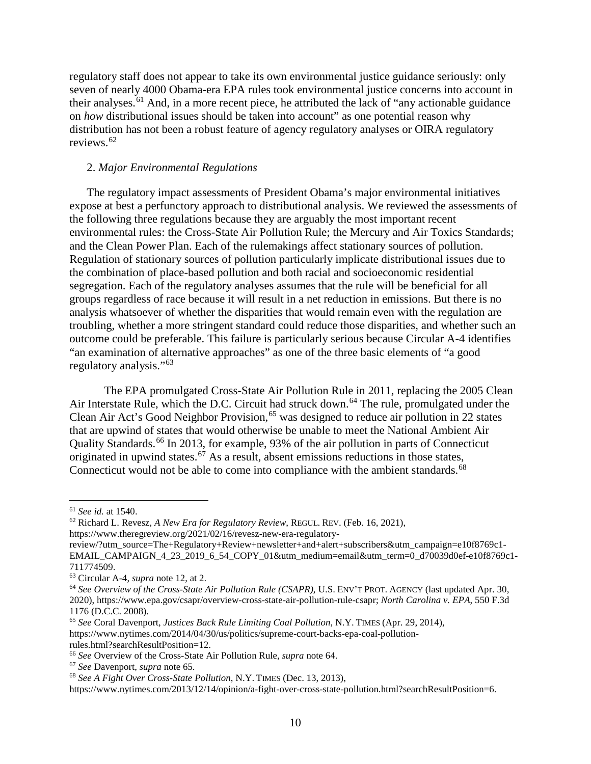regulatory staff does not appear to take its own environmental justice guidance seriously: only seven of nearly 4000 Obama-era EPA rules took environmental justice concerns into account in their analyses.<sup>[61](#page-9-3)</sup> And, in a more recent piece, he attributed the lack of "any actionable guidance" on *how* distributional issues should be taken into account" as one potential reason why distribution has not been a robust feature of agency regulatory analyses or OIRA regulatory reviews.[62](#page-9-4)

#### <span id="page-9-0"></span>2. *Major Environmental Regulations*

The regulatory impact assessments of President Obama's major environmental initiatives expose at best a perfunctory approach to distributional analysis. We reviewed the assessments of the following three regulations because they are arguably the most important recent environmental rules: the Cross-State Air Pollution Rule; the Mercury and Air Toxics Standards; and the Clean Power Plan. Each of the rulemakings affect stationary sources of pollution. Regulation of stationary sources of pollution particularly implicate distributional issues due to the combination of place-based pollution and both racial and socioeconomic residential segregation. Each of the regulatory analyses assumes that the rule will be beneficial for all groups regardless of race because it will result in a net reduction in emissions. But there is no analysis whatsoever of whether the disparities that would remain even with the regulation are troubling, whether a more stringent standard could reduce those disparities, and whether such an outcome could be preferable. This failure is particularly serious because Circular A-4 identifies "an examination of alternative approaches" as one of the three basic elements of "a good regulatory analysis."[63](#page-9-5)

<span id="page-9-11"></span><span id="page-9-2"></span><span id="page-9-1"></span>The EPA promulgated Cross-State Air Pollution Rule in 2011, replacing the 2005 Clean Air Interstate Rule, which the D.C. Circuit had struck down.<sup>[64](#page-9-6)</sup> The rule, promulgated under the Clean Air Act's Good Neighbor Provision,<sup>[65](#page-9-7)</sup> was designed to reduce air pollution in 22 states that are upwind of states that would otherwise be unable to meet the National Ambient Air Quality Standards.<sup>[66](#page-9-8)</sup> In 2013, for example, 93% of the air pollution in parts of Connecticut originated in upwind states.<sup>[67](#page-9-9)</sup> As a result, absent emissions reductions in those states, Connecticut would not be able to come into compliance with the ambient standards.<sup>[68](#page-9-10)</sup>

rules.html?searchResultPosition=12.

<span id="page-9-3"></span> <sup>61</sup> *See id.* at 1540.

<span id="page-9-4"></span><sup>62</sup> Richard L. Revesz, *A New Era for Regulatory Review*, REGUL. REV. (Feb. 16, 2021), https://www.theregreview.org/2021/02/16/revesz-new-era-regulatory-

review/?utm\_source=The+Regulatory+Review+newsletter+and+alert+subscribers&utm\_campaign=e10f8769c1- EMAIL\_CAMPAIGN\_4\_23\_2019\_6\_54\_COPY\_01&utm\_medium=email&utm\_term=0\_d70039d0ef-e10f8769c1- 711774509.

<span id="page-9-5"></span><sup>63</sup> Circular A-4, *supra* note [12,](#page-3-2) at 2.

<span id="page-9-6"></span><sup>64</sup> *See Overview of the Cross-State Air Pollution Rule (CSAPR)*, U.S. ENV'T PROT. AGENCY (last updated Apr. 30, 2020), https://www.epa.gov/csapr/overview-cross-state-air-pollution-rule-csapr; *North Carolina v. EPA*, 550 F.3d 1176 (D.C.C. 2008).

<span id="page-9-7"></span><sup>65</sup> *See* Coral Davenport, *Justices Back Rule Limiting Coal Pollution*, N.Y. TIMES (Apr. 29, 2014), https://www.nytimes.com/2014/04/30/us/politics/supreme-court-backs-epa-coal-pollution-

<span id="page-9-8"></span><sup>66</sup> *See* Overview of the Cross-State Air Pollution Rule, *supra* note [64.](#page-9-1)

<span id="page-9-9"></span><sup>67</sup> *See* Davenport, *supra* not[e 65.](#page-9-2)

<span id="page-9-10"></span><sup>68</sup> *See A Fight Over Cross-State Pollution*, N.Y. TIMES (Dec. 13, 2013),

https://www.nytimes.com/2013/12/14/opinion/a-fight-over-cross-state-pollution.html?searchResultPosition=6.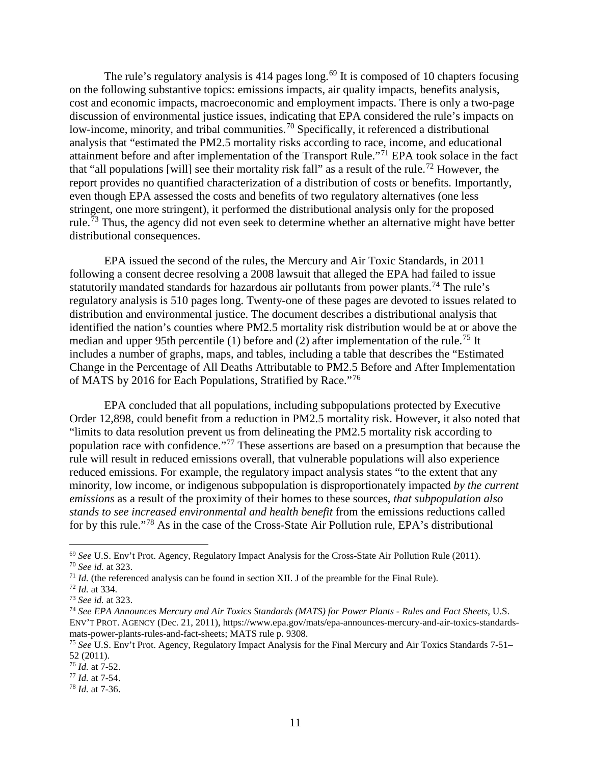<span id="page-10-11"></span>The rule's regulatory analysis is  $414$  pages long.<sup>[69](#page-10-1)</sup> It is composed of 10 chapters focusing on the following substantive topics: emissions impacts, air quality impacts, benefits analysis, cost and economic impacts, macroeconomic and employment impacts. There is only a two-page discussion of environmental justice issues, indicating that EPA considered the rule's impacts on low-income, minority, and tribal communities.<sup>[70](#page-10-2)</sup> Specifically, it referenced a distributional analysis that "estimated the PM2.5 mortality risks according to race, income, and educational attainment before and after implementation of the Transport Rule."[71](#page-10-3) EPA took solace in the fact that "all populations [will] see their mortality risk fall" as a result of the rule.<sup>[72](#page-10-4)</sup> However, the report provides no quantified characterization of a distribution of costs or benefits. Importantly, even though EPA assessed the costs and benefits of two regulatory alternatives (one less stringent, one more stringent), it performed the distributional analysis only for the proposed rule.<sup>[73](#page-10-5)</sup> Thus, the agency did not even seek to determine whether an alternative might have better distributional consequences.

<span id="page-10-12"></span><span id="page-10-0"></span>EPA issued the second of the rules, the Mercury and Air Toxic Standards, in 2011 following a consent decree resolving a 2008 lawsuit that alleged the EPA had failed to issue statutorily mandated standards for hazardous air pollutants from power plants.<sup>[74](#page-10-6)</sup> The rule's regulatory analysis is 510 pages long. Twenty-one of these pages are devoted to issues related to distribution and environmental justice. The document describes a distributional analysis that identified the nation's counties where PM2.5 mortality risk distribution would be at or above the median and upper 95th percentile (1) before and (2) after implementation of the rule.<sup>[75](#page-10-7)</sup> It includes a number of graphs, maps, and tables, including a table that describes the "Estimated Change in the Percentage of All Deaths Attributable to PM2.5 Before and After Implementation of MATS by 2016 for Each Populations, Stratified by Race."<sup>[76](#page-10-8)</sup>

EPA concluded that all populations, including subpopulations protected by Executive Order 12,898, could benefit from a reduction in PM2.5 mortality risk. However, it also noted that "limits to data resolution prevent us from delineating the PM2.5 mortality risk according to population race with confidence."[77](#page-10-9) These assertions are based on a presumption that because the rule will result in reduced emissions overall, that vulnerable populations will also experience reduced emissions. For example, the regulatory impact analysis states "to the extent that any minority, low income, or indigenous subpopulation is disproportionately impacted *by the current emissions* as a result of the proximity of their homes to these sources, *that subpopulation also stands to see increased environmental and health benefit* from the emissions reductions called for by this rule."[78](#page-10-10) As in the case of the Cross-State Air Pollution rule, EPA's distributional

<span id="page-10-1"></span> <sup>69</sup> *See* U.S. Env't Prot. Agency, Regulatory Impact Analysis for the Cross-State Air Pollution Rule (2011).

<span id="page-10-2"></span><sup>70</sup> *See id.* at 323.

<span id="page-10-3"></span> $71$  *Id.* (the referenced analysis can be found in section XII. J of the preamble for the Final Rule).

<span id="page-10-4"></span><sup>72</sup> *Id.* at 334.

<span id="page-10-5"></span><sup>73</sup> *See id.* at 323.

<span id="page-10-6"></span><sup>74</sup> *See EPA Announces Mercury and Air Toxics Standards (MATS) for Power Plants - Rules and Fact Sheets*, U.S. ENV'T PROT. AGENCY (Dec. 21, 2011), https://www.epa.gov/mats/epa-announces-mercury-and-air-toxics-standardsmats-power-plants-rules-and-fact-sheets; MATS rule p. 9308.

<span id="page-10-7"></span><sup>75</sup> *See* U.S. Env't Prot. Agency, Regulatory Impact Analysis for the Final Mercury and Air Toxics Standards 7-51– 52 (2011).

<span id="page-10-8"></span><sup>76</sup> *Id.* at 7-52.

<span id="page-10-9"></span><sup>77</sup> *Id.* at 7-54.

<span id="page-10-10"></span><sup>78</sup> *Id.* at 7-36.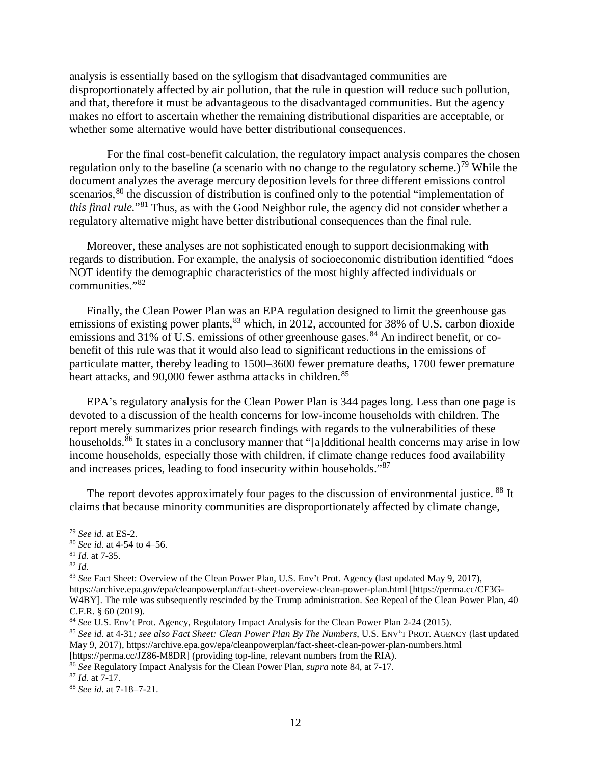analysis is essentially based on the syllogism that disadvantaged communities are disproportionately affected by air pollution, that the rule in question will reduce such pollution, and that, therefore it must be advantageous to the disadvantaged communities. But the agency makes no effort to ascertain whether the remaining distributional disparities are acceptable, or whether some alternative would have better distributional consequences.

<span id="page-11-0"></span>For the final cost-benefit calculation, the regulatory impact analysis compares the chosen regulation only to the baseline (a scenario with no change to the regulatory scheme.)<sup>[79](#page-11-2)</sup> While the document analyzes the average mercury deposition levels for three different emissions control scenarios,<sup>[80](#page-11-3)</sup> the discussion of distribution is confined only to the potential "implementation of *this final rule.*"[81](#page-11-4) Thus, as with the Good Neighbor rule, the agency did not consider whether a regulatory alternative might have better distributional consequences than the final rule.

Moreover, these analyses are not sophisticated enough to support decisionmaking with regards to distribution. For example, the analysis of socioeconomic distribution identified "does NOT identify the demographic characteristics of the most highly affected individuals or communities."[82](#page-11-5)

<span id="page-11-1"></span>Finally, the Clean Power Plan was an EPA regulation designed to limit the greenhouse gas emissions of existing power plants,  $83$  which, in 2012, accounted for 38% of U.S. carbon dioxide emissions and 31% of U.S. emissions of other greenhouse gases.<sup>[84](#page-11-7)</sup> An indirect benefit, or cobenefit of this rule was that it would also lead to significant reductions in the emissions of particulate matter, thereby leading to 1500–3600 fewer premature deaths, 1700 fewer premature heart attacks, and 90,000 fewer asthma attacks in children. <sup>[85](#page-11-8)</sup>

EPA's regulatory analysis for the Clean Power Plan is 344 pages long. Less than one page is devoted to a discussion of the health concerns for low-income households with children. The report merely summarizes prior research findings with regards to the vulnerabilities of these households.<sup>[86](#page-11-9)</sup> It states in a conclusory manner that "[a]dditional health concerns may arise in low income households, especially those with children, if climate change reduces food availability and increases prices, leading to food insecurity within households."[87](#page-11-10)

The report devotes approximately four pages to the discussion of environmental justice. <sup>[88](#page-11-11)</sup> It claims that because minority communities are disproportionately affected by climate change,

<span id="page-11-2"></span> <sup>79</sup> *See id.* at ES-2.

<span id="page-11-3"></span><sup>80</sup> *See id.* at 4-54 to 4–56.

<span id="page-11-4"></span><sup>81</sup> *Id.* at 7-35.

<span id="page-11-5"></span><sup>82</sup> *Id.*

<span id="page-11-6"></span><sup>83</sup> *See* Fact Sheet: Overview of the Clean Power Plan, U.S. Env't Prot. Agency (last updated May 9, 2017), https://archive.epa.gov/epa/cleanpowerplan/fact-sheet-overview-clean-power-plan.html [https://perma.cc/CF3G-W4BY]. The rule was subsequently rescinded by the Trump administration. *See* Repeal of the Clean Power Plan, 40

C.F.R. § 60 (2019).

<span id="page-11-7"></span><sup>84</sup> *See* U.S. Env't Prot. Agency, Regulatory Impact Analysis for the Clean Power Plan 2-24 (2015).

<span id="page-11-8"></span><sup>85</sup> *See id.* at 4-31*; see also Fact Sheet: Clean Power Plan By The Numbers*, U.S. ENV'T PROT. AGENCY (last updated May 9, 2017), https://archive.epa.gov/epa/cleanpowerplan/fact-sheet-clean-power-plan-numbers.html

<sup>[</sup>https://perma.cc/JZ86-M8DR] (providing top-line, relevant numbers from the RIA).

<span id="page-11-9"></span><sup>86</sup> *See* Regulatory Impact Analysis for the Clean Power Plan, *supra* not[e 84,](#page-11-1) at 7-17.

<span id="page-11-10"></span><sup>87</sup> *Id.* at 7-17.

<span id="page-11-11"></span><sup>88</sup> *See id.* at 7-18–7-21.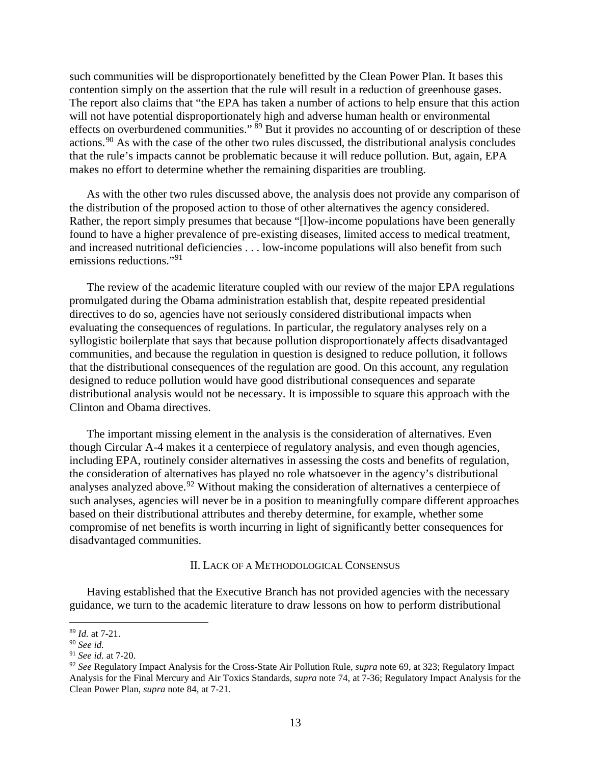such communities will be disproportionately benefitted by the Clean Power Plan. It bases this contention simply on the assertion that the rule will result in a reduction of greenhouse gases. The report also claims that "the EPA has taken a number of actions to help ensure that this action will not have potential disproportionately high and adverse human health or environmental effects on overburdened communities."  $\frac{89}{9}$  $\frac{89}{9}$  $\frac{89}{9}$  But it provides no accounting of or description of these actions.[90](#page-12-3) As with the case of the other two rules discussed, the distributional analysis concludes that the rule's impacts cannot be problematic because it will reduce pollution. But, again, EPA makes no effort to determine whether the remaining disparities are troubling.

As with the other two rules discussed above, the analysis does not provide any comparison of the distribution of the proposed action to those of other alternatives the agency considered. Rather, the report simply presumes that because "[l]ow-income populations have been generally found to have a higher prevalence of pre-existing diseases, limited access to medical treatment, and increased nutritional deficiencies . . . low-income populations will also benefit from such emissions reductions."<sup>[91](#page-12-4)</sup>

<span id="page-12-1"></span>The review of the academic literature coupled with our review of the major EPA regulations promulgated during the Obama administration establish that, despite repeated presidential directives to do so, agencies have not seriously considered distributional impacts when evaluating the consequences of regulations. In particular, the regulatory analyses rely on a syllogistic boilerplate that says that because pollution disproportionately affects disadvantaged communities, and because the regulation in question is designed to reduce pollution, it follows that the distributional consequences of the regulation are good. On this account, any regulation designed to reduce pollution would have good distributional consequences and separate distributional analysis would not be necessary. It is impossible to square this approach with the Clinton and Obama directives.

The important missing element in the analysis is the consideration of alternatives. Even though Circular A-4 makes it a centerpiece of regulatory analysis, and even though agencies, including EPA, routinely consider alternatives in assessing the costs and benefits of regulation, the consideration of alternatives has played no role whatsoever in the agency's distributional analyses analyzed above.  $92$  Without making the consideration of alternatives a centerpiece of such analyses, agencies will never be in a position to meaningfully compare different approaches based on their distributional attributes and thereby determine, for example, whether some compromise of net benefits is worth incurring in light of significantly better consequences for disadvantaged communities.

### <span id="page-12-6"></span>II. LACK OF A METHODOLOGICAL CONSENSUS

<span id="page-12-0"></span>Having established that the Executive Branch has not provided agencies with the necessary guidance, we turn to the academic literature to draw lessons on how to perform distributional

<span id="page-12-2"></span> <sup>89</sup> *Id.* at 7-21.

<span id="page-12-3"></span><sup>90</sup> *See id.*

<span id="page-12-4"></span><sup>91</sup> *See id.* at 7-20.

<span id="page-12-5"></span><sup>92</sup> *See* Regulatory Impact Analysis for the Cross-State Air Pollution Rule, *supra* note [69,](#page-10-11) at 323; Regulatory Impact Analysis for the Final Mercury and Air Toxics Standards, *supra* note [74,](#page-10-12) at 7-36; Regulatory Impact Analysis for the Clean Power Plan, *supra* not[e 84,](#page-11-1) at 7-21.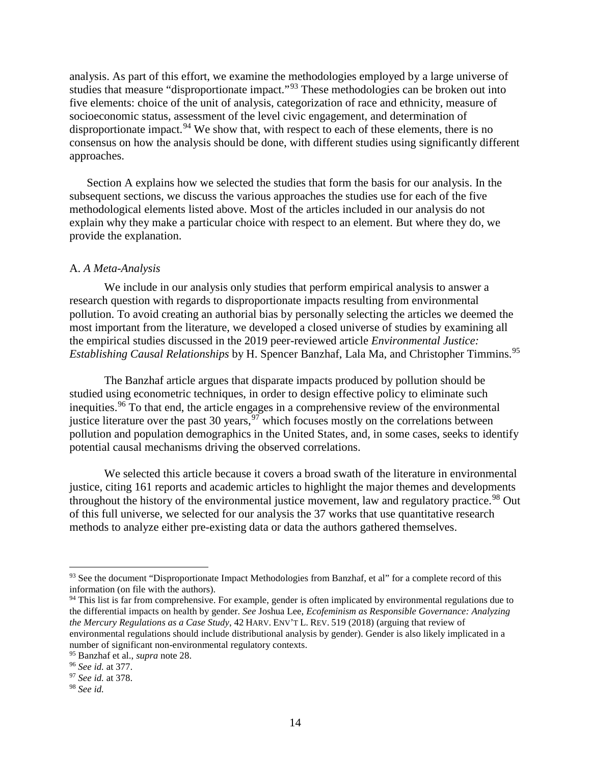<span id="page-13-9"></span><span id="page-13-7"></span>analysis. As part of this effort, we examine the methodologies employed by a large universe of studies that measure "disproportionate impact."[93](#page-13-1) These methodologies can be broken out into five elements: choice of the unit of analysis, categorization of race and ethnicity, measure of socioeconomic status, assessment of the level civic engagement, and determination of disproportionate impact.<sup>[94](#page-13-2)</sup> We show that, with respect to each of these elements, there is no consensus on how the analysis should be done, with different studies using significantly different approaches.

Section A explains how we selected the studies that form the basis for our analysis. In the subsequent sections, we discuss the various approaches the studies use for each of the five methodological elements listed above. Most of the articles included in our analysis do not explain why they make a particular choice with respect to an element. But where they do, we provide the explanation.

## <span id="page-13-0"></span>A. *A Meta-Analysis*

We include in our analysis only studies that perform empirical analysis to answer a research question with regards to disproportionate impacts resulting from environmental pollution. To avoid creating an authorial bias by personally selecting the articles we deemed the most important from the literature, we developed a closed universe of studies by examining all the empirical studies discussed in the 2019 peer-reviewed article *Environmental Justice: Establishing Causal Relationships* by H. Spencer Banzhaf, Lala Ma, and Christopher Timmins. [95](#page-13-3)

<span id="page-13-8"></span>The Banzhaf article argues that disparate impacts produced by pollution should be studied using econometric techniques, in order to design effective policy to eliminate such inequities.<sup>[96](#page-13-4)</sup> To that end, the article engages in a comprehensive review of the environmental justice literature over the past 30 years, <sup>[97](#page-13-5)</sup> which focuses mostly on the correlations between pollution and population demographics in the United States, and, in some cases, seeks to identify potential causal mechanisms driving the observed correlations.

We selected this article because it covers a broad swath of the literature in environmental justice, citing 161 reports and academic articles to highlight the major themes and developments throughout the history of the environmental justice movement, law and regulatory practice.<sup>[98](#page-13-6)</sup> Out of this full universe, we selected for our analysis the 37 works that use quantitative research methods to analyze either pre-existing data or data the authors gathered themselves.

<span id="page-13-1"></span><sup>93</sup> See the document "Disproportionate Impact Methodologies from Banzhaf, et al" for a complete record of this information (on file with the authors).

<span id="page-13-2"></span><sup>&</sup>lt;sup>94</sup> This list is far from comprehensive. For example, gender is often implicated by environmental regulations due to the differential impacts on health by gender. *See* Joshua Lee, *Ecofeminism as Responsible Governance: Analyzing the Mercury Regulations as a Case Study*, 42 HARV. ENV'T L. REV. 519 (2018) (arguing that review of environmental regulations should include distributional analysis by gender). Gender is also likely implicated in a number of significant non-environmental regulatory contexts.

<span id="page-13-3"></span><sup>95</sup> Banzhaf et al., *supra* note 28.

<span id="page-13-4"></span><sup>96</sup> *See id.* at 377.

<span id="page-13-5"></span><sup>97</sup> *See id.* at 378.

<span id="page-13-6"></span><sup>98</sup> *See id.*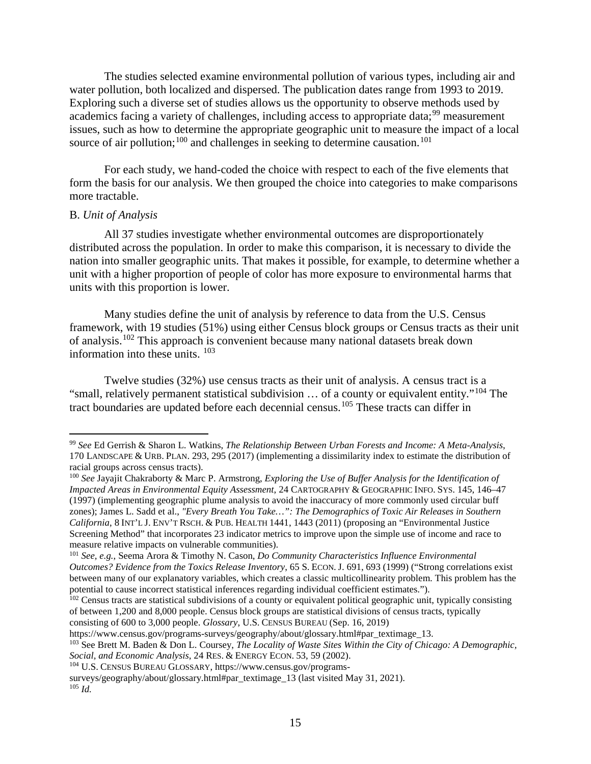The studies selected examine environmental pollution of various types, including air and water pollution, both localized and dispersed. The publication dates range from 1993 to 2019. Exploring such a diverse set of studies allows us the opportunity to observe methods used by academics facing a variety of challenges, including access to appropriate data;<sup>[99](#page-14-1)</sup> measurement issues, such as how to determine the appropriate geographic unit to measure the impact of a local source of air pollution;<sup>[100](#page-14-2)</sup> and challenges in seeking to determine causation.<sup>[101](#page-14-3)</sup>

<span id="page-14-10"></span><span id="page-14-9"></span>For each study, we hand-coded the choice with respect to each of the five elements that form the basis for our analysis. We then grouped the choice into categories to make comparisons more tractable.

## <span id="page-14-0"></span>B. *Unit of Analysis*

All 37 studies investigate whether environmental outcomes are disproportionately distributed across the population. In order to make this comparison, it is necessary to divide the nation into smaller geographic units. That makes it possible, for example, to determine whether a unit with a higher proportion of people of color has more exposure to environmental harms that units with this proportion is lower.

<span id="page-14-11"></span>Many studies define the unit of analysis by reference to data from the U.S. Census framework, with 19 studies (51%) using either Census block groups or Census tracts as their unit of analysis. [102](#page-14-4) This approach is convenient because many national datasets break down information into these units. [103](#page-14-5)

<span id="page-14-8"></span>Twelve studies (32%) use census tracts as their unit of analysis. A census tract is a "small, relatively permanent statistical subdivision … of a county or equivalent entity."[104](#page-14-6) The tract boundaries are updated before each decennial census.[105](#page-14-7) These tracts can differ in

https://www.census.gov/programs-surveys/geography/about/glossary.html#par\_textimage\_13.

<span id="page-14-1"></span> <sup>99</sup> *See* Ed Gerrish & Sharon L. Watkins, *The Relationship Between Urban Forests and Income: <sup>A</sup> Meta-Analysis*, 170 LANDSCAPE & URB. PLAN. 293, 295 (2017) (implementing a dissimilarity index to estimate the distribution of racial groups across census tracts).

<span id="page-14-2"></span><sup>100</sup> *See* Jayajit Chakraborty & Marc P. Armstrong, *Exploring the Use of Buffer Analysis for the Identification of Impacted Areas in Environmental Equity Assessment*, 24 CARTOGRAPHY & GEOGRAPHIC INFO. SYS. 145, 146–47 (1997) (implementing geographic plume analysis to avoid the inaccuracy of more commonly used circular buff zones); James L. Sadd et al., *"Every Breath You Take…": The Demographics of Toxic Air Releases in Southern California*, 8 INT'L J. ENV'T RSCH. & PUB. HEALTH 1441, 1443 (2011) (proposing an "Environmental Justice Screening Method" that incorporates 23 indicator metrics to improve upon the simple use of income and race to measure relative impacts on vulnerable communities).

<span id="page-14-3"></span><sup>101</sup> *See, e.g.*, Seema Arora & Timothy N. Cason, *Do Community Characteristics Influence Environmental Outcomes? Evidence from the Toxics Release Inventory*, 65 S. ECON. J. 691, 693 (1999) ("Strong correlations exist between many of our explanatory variables, which creates a classic multicollinearity problem. This problem has the potential to cause incorrect statistical inferences regarding individual coefficient estimates.").

<span id="page-14-4"></span><sup>&</sup>lt;sup>102</sup> Census tracts are statistical subdivisions of a county or equivalent political geographic unit, typically consisting of between 1,200 and 8,000 people. Census block groups are statistical divisions of census tracts, typically consisting of 600 to 3,000 people. *Glossary*, U.S. CENSUS BUREAU (Sep. 16, 2019)

<span id="page-14-5"></span><sup>103</sup> See Brett M. Baden & Don L. Coursey, *The Locality of Waste Sites Within the City of Chicago: A Demographic, Social, and Economic Analysis*, 24 RES. & ENERGY ECON. 53, 59 (2002).

<span id="page-14-6"></span><sup>104</sup> U.S. CENSUS BUREAU GLOSSARY, https://www.census.gov/programs-

<span id="page-14-7"></span>surveys/geography/about/glossary.html#par\_textimage\_13 (last visited May 31, 2021).  $^{105}$  *Id.*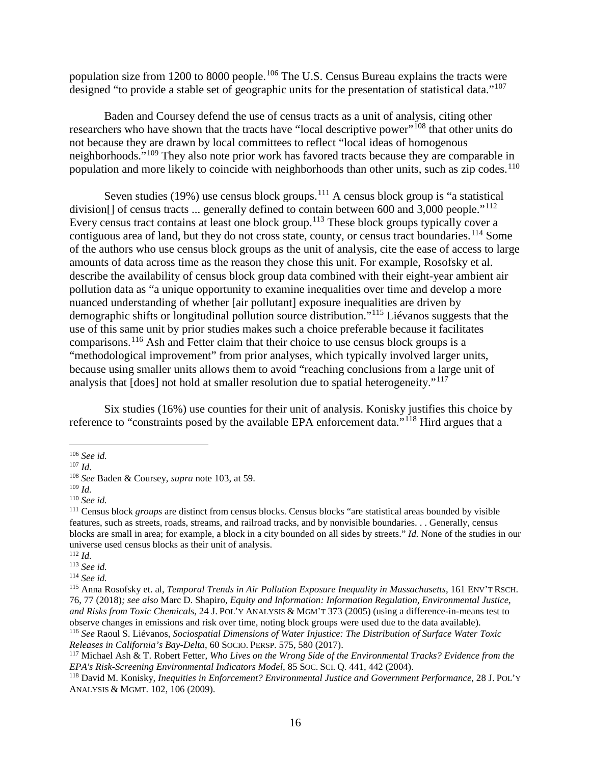population size from 1200 to 8000 people.<sup>[106](#page-15-0)</sup> The U.S. Census Bureau explains the tracts were designed "to provide a stable set of geographic units for the presentation of statistical data."<sup>[107](#page-15-1)</sup>

Baden and Coursey defend the use of census tracts as a unit of analysis, citing other researchers who have shown that the tracts have "local descriptive power"<sup>[108](#page-15-2)</sup> that other units do not because they are drawn by local committees to reflect "local ideas of homogenous neighborhoods."<sup>[109](#page-15-3)</sup> They also note prior work has favored tracts because they are comparable in population and more likely to coincide with neighborhoods than other units, such as zip codes.<sup>[110](#page-15-4)</sup>

Seven studies (19%) use census block groups.<sup>[111](#page-15-5)</sup> A census block group is "a statistical division[] of census tracts ... generally defined to contain between 600 and 3,000 people."<sup>[112](#page-15-6)</sup> Every census tract contains at least one block group.<sup>[113](#page-15-7)</sup> These block groups typically cover a contiguous area of land, but they do not cross state, county, or census tract boundaries.<sup>[114](#page-15-8)</sup> Some of the authors who use census block groups as the unit of analysis, cite the ease of access to large amounts of data across time as the reason they chose this unit. For example, Rosofsky et al. describe the availability of census block group data combined with their eight-year ambient air pollution data as "a unique opportunity to examine inequalities over time and develop a more nuanced understanding of whether [air pollutant] exposure inequalities are driven by demographic shifts or longitudinal pollution source distribution."[115](#page-15-9) Liévanos suggests that the use of this same unit by prior studies makes such a choice preferable because it facilitates comparisons. [116](#page-15-10) Ash and Fetter claim that their choice to use census block groups is a "methodological improvement" from prior analyses, which typically involved larger units, because using smaller units allows them to avoid "reaching conclusions from a large unit of analysis that [does] not hold at smaller resolution due to spatial heterogeneity."<sup>[117](#page-15-11)</sup>

<span id="page-15-16"></span><span id="page-15-15"></span><span id="page-15-14"></span><span id="page-15-13"></span>Six studies (16%) use counties for their unit of analysis. Konisky justifies this choice by reference to "constraints posed by the available EPA enforcement data."[118](#page-15-12) Hird argues that a

<span id="page-15-0"></span> <sup>106</sup> *See id.*

<span id="page-15-1"></span><sup>107</sup> *Id.*

<span id="page-15-2"></span><sup>108</sup> *See* Baden & Coursey, *supra* note [103,](#page-14-8) at 59.

<span id="page-15-3"></span><sup>109</sup> *Id.*

<span id="page-15-4"></span><sup>110</sup> *See id.*

<span id="page-15-5"></span><sup>111</sup> Census block *groups* are distinct from census blocks. Census blocks "are statistical areas bounded by visible features, such as streets, roads, streams, and railroad tracks, and by nonvisible boundaries. . . Generally, census blocks are small in area; for example, a block in a city bounded on all sides by streets." *Id.* None of the studies in our universe used census blocks as their unit of analysis.

<span id="page-15-6"></span><sup>112</sup> *Id.*

<span id="page-15-7"></span><sup>113</sup> *See id.*

<span id="page-15-8"></span><sup>114</sup> *See id.*

<span id="page-15-9"></span><sup>115</sup> Anna Rosofsky et. al, *Temporal Trends in Air Pollution Exposure Inequality in Massachusetts*, 161 ENV'T RSCH. 76, 77 (2018)*; see also* Marc D. Shapiro, *Equity and Information: Information Regulation, Environmental Justice, and Risks from Toxic Chemicals*, 24 J. POL'Y ANALYSIS & MGM'T 373 (2005) (using a difference-in-means test to observe changes in emissions and risk over time, noting block groups were used due to the data available). <sup>116</sup> *See* Raoul S. Liévanos, *Sociospatial Dimensions of Water Injustice: The Distribution of Surface Water Toxic* 

<span id="page-15-10"></span>*Releases in California's Bay-Delta*, 60 SOCIO. PERSP. 575, 580 (2017).

<span id="page-15-11"></span><sup>117</sup> Michael Ash & T. Robert Fetter, *Who Lives on the Wrong Side of the Environmental Tracks? Evidence from the EPA's Risk-Screening Environmental Indicators Model*, 85 SOC. SCI. Q. 441, 442 (2004).

<span id="page-15-12"></span><sup>118</sup> David M. Konisky, *Inequities in Enforcement? Environmental Justice and Government Performance*, 28 J. POL'Y ANALYSIS & MGMT. 102, 106 (2009).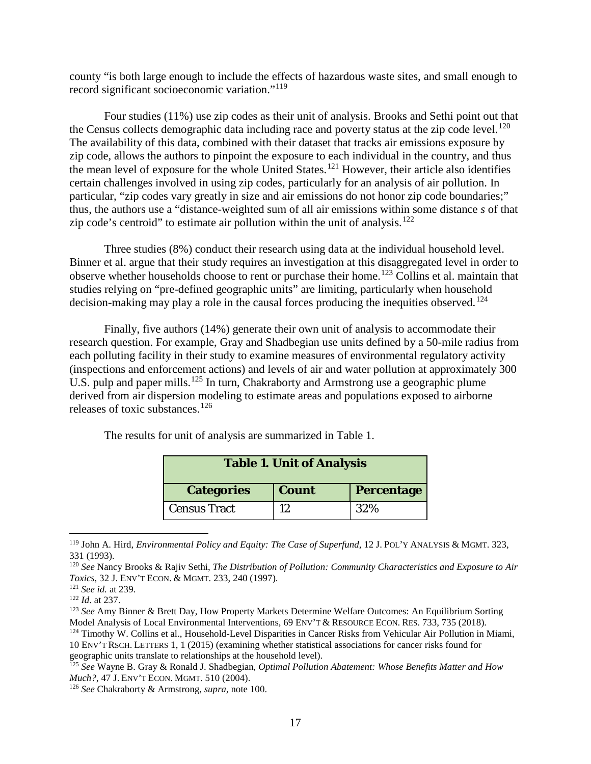<span id="page-16-8"></span>county "is both large enough to include the effects of hazardous waste sites, and small enough to record significant socioeconomic variation."[119](#page-16-0)

<span id="page-16-9"></span>Four studies (11%) use zip codes as their unit of analysis. Brooks and Sethi point out that the Census collects demographic data including race and poverty status at the zip code level.<sup>[120](#page-16-1)</sup> The availability of this data, combined with their dataset that tracks air emissions exposure by zip code, allows the authors to pinpoint the exposure to each individual in the country, and thus the mean level of exposure for the whole United States.[121](#page-16-2) However, their article also identifies certain challenges involved in using zip codes, particularly for an analysis of air pollution. In particular, "zip codes vary greatly in size and air emissions do not honor zip code boundaries;" thus, the authors use a "distance-weighted sum of all air emissions within some distance *s* of that zip code's centroid" to estimate air pollution within the unit of analysis.<sup>[122](#page-16-3)</sup>

Three studies (8%) conduct their research using data at the individual household level. Binner et al. argue that their study requires an investigation at this disaggregated level in order to observe whether households choose to rent or purchase their home.[123](#page-16-4) Collins et al. maintain that studies relying on "pre-defined geographic units" are limiting, particularly when household decision-making may play a role in the causal forces producing the inequities observed.<sup>[124](#page-16-5)</sup>

Finally, five authors (14%) generate their own unit of analysis to accommodate their research question. For example, Gray and Shadbegian use units defined by a 50-mile radius from each polluting facility in their study to examine measures of environmental regulatory activity (inspections and enforcement actions) and levels of air and water pollution at approximately 300 U.S. pulp and paper mills.<sup>[125](#page-16-6)</sup> In turn, Chakraborty and Armstrong use a geographic plume derived from air dispersion modeling to estimate areas and populations exposed to airborne releases of toxic substances. [126](#page-16-7)

<span id="page-16-11"></span><span id="page-16-10"></span>

| <b>Table 1. Unit of Analysis</b> |              |                   |
|----------------------------------|--------------|-------------------|
| <b>Categories</b>                | <b>Count</b> | <b>Percentage</b> |
| <b>Census Tract</b>              | 12           | 32%               |

The results for unit of analysis are summarized in Table 1.

<span id="page-16-0"></span> <sup>119</sup> John A. Hird, *Environmental Policy and Equity: The Case of Superfund*, 12 J. POL'Y ANALYSIS & MGMT. 323, 331 (1993).

<span id="page-16-1"></span><sup>120</sup> *See* Nancy Brooks & Rajiv Sethi, *The Distribution of Pollution: Community Characteristics and Exposure to Air Toxics*, 32 J. ENV'T ECON. & MGMT. 233, 240 (1997).

<sup>121</sup> *See id.* at 239.

<span id="page-16-3"></span><span id="page-16-2"></span><sup>122</sup> *Id*. at 237.

<span id="page-16-4"></span><sup>123</sup> *See* Amy Binner & Brett Day, How Property Markets Determine Welfare Outcomes: An Equilibrium Sorting Model Analysis of Local Environmental Interventions, 69 ENV'T & RESOURCE ECON. RES. 733, 735 (2018).

<span id="page-16-5"></span><sup>&</sup>lt;sup>124</sup> Timothy W. Collins et al., Household-Level Disparities in Cancer Risks from Vehicular Air Pollution in Miami, 10 ENV'T RSCH. LETTERS 1, 1 (2015) (examining whether statistical associations for cancer risks found for geographic units translate to relationships at the household level).

<span id="page-16-6"></span><sup>125</sup> *See* Wayne B. Gray & Ronald J. Shadbegian, *Optimal Pollution Abatement: Whose Benefits Matter and How Much?*, 47 J. ENV'T ECON. MGMT. 510 (2004).

<span id="page-16-7"></span><sup>126</sup> *See* Chakraborty & Armstrong, *supra*, note [100.](#page-14-9)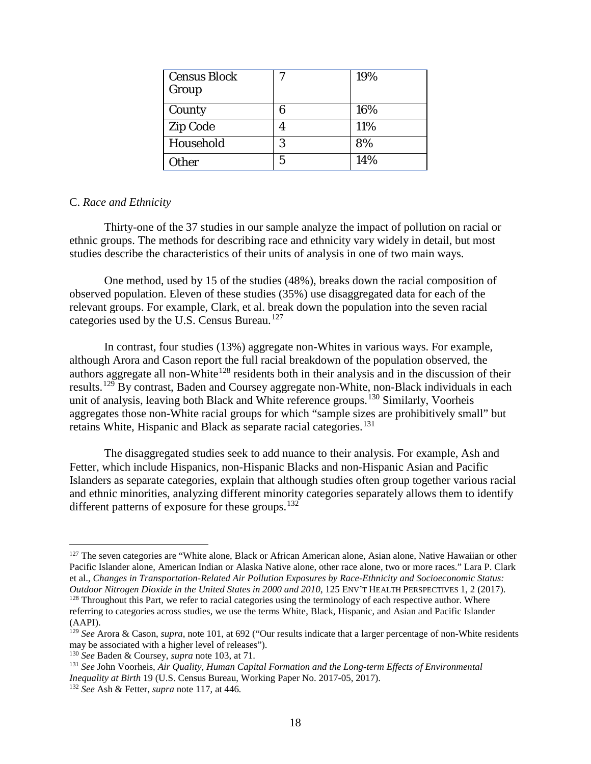| Census Block<br>Group | 7 | 19% |
|-----------------------|---|-----|
| County                | 6 | 16% |
| <b>Zip Code</b>       |   | 11% |
| Household             | 3 | 8%  |
| Other                 | 5 | 14% |

## <span id="page-17-0"></span>C. *Race and Ethnicity*

Thirty-one of the 37 studies in our sample analyze the impact of pollution on racial or ethnic groups. The methods for describing race and ethnicity vary widely in detail, but most studies describe the characteristics of their units of analysis in one of two main ways.

One method, used by 15 of the studies (48%), breaks down the racial composition of observed population. Eleven of these studies (35%) use disaggregated data for each of the relevant groups. For example, Clark, et al. break down the population into the seven racial categories used by the U.S. Census Bureau.<sup>[127](#page-17-1)</sup>

In contrast, four studies (13%) aggregate non-Whites in various ways. For example, although Arora and Cason report the full racial breakdown of the population observed, the authors aggregate all non-White<sup>[128](#page-17-2)</sup> residents both in their analysis and in the discussion of their results.[129](#page-17-3) By contrast, Baden and Coursey aggregate non-White, non-Black individuals in each unit of analysis, leaving both Black and White reference groups.<sup>[130](#page-17-4)</sup> Similarly, Voorheis aggregates those non-White racial groups for which "sample sizes are prohibitively small" but retains White, Hispanic and Black as separate racial categories.<sup>[131](#page-17-5)</sup>

<span id="page-17-7"></span>The disaggregated studies seek to add nuance to their analysis. For example, Ash and Fetter, which include Hispanics, non-Hispanic Blacks and non-Hispanic Asian and Pacific Islanders as separate categories, explain that although studies often group together various racial and ethnic minorities, analyzing different minority categories separately allows them to identify different patterns of exposure for these groups. $132$ 

<span id="page-17-1"></span><sup>&</sup>lt;sup>127</sup> The seven categories are "White alone, Black or African American alone, Asian alone, Native Hawaiian or other Pacific Islander alone, American Indian or Alaska Native alone, other race alone, two or more races." Lara P. Clark et al., *Changes in Transportation-Related Air Pollution Exposures by Race-Ethnicity and Socioeconomic Status: Outdoor Nitrogen Dioxide in the United States in 2000 and 2010*, 125 ENV'T HEALTH PERSPECTIVES 1, 2 (2017). <sup>128</sup> Throughout this Part, we refer to racial categories using the terminology of each respective author. Where referring to categories across studies, we use the terms White, Black, Hispanic, and Asian and Pacific Islander

<span id="page-17-2"></span><sup>(</sup>AAPI).

<span id="page-17-3"></span><sup>129</sup> *See* Arora & Cason, *supra*, note [101,](#page-14-10) at 692 ("Our results indicate that a larger percentage of non-White residents may be associated with a higher level of releases").

<span id="page-17-4"></span><sup>130</sup> *See* Baden & Coursey, *supra* note [103,](#page-14-8) at 71.

<span id="page-17-5"></span><sup>131</sup> *See* John Voorheis, *Air Quality, Human Capital Formation and the Long-term Effects of Environmental Inequality at Birth* 19 (U.S. Census Bureau, Working Paper No. 2017-05, 2017).

<span id="page-17-6"></span><sup>132</sup> *See* Ash & Fetter, *supra* note [117,](#page-15-13) at 446*.*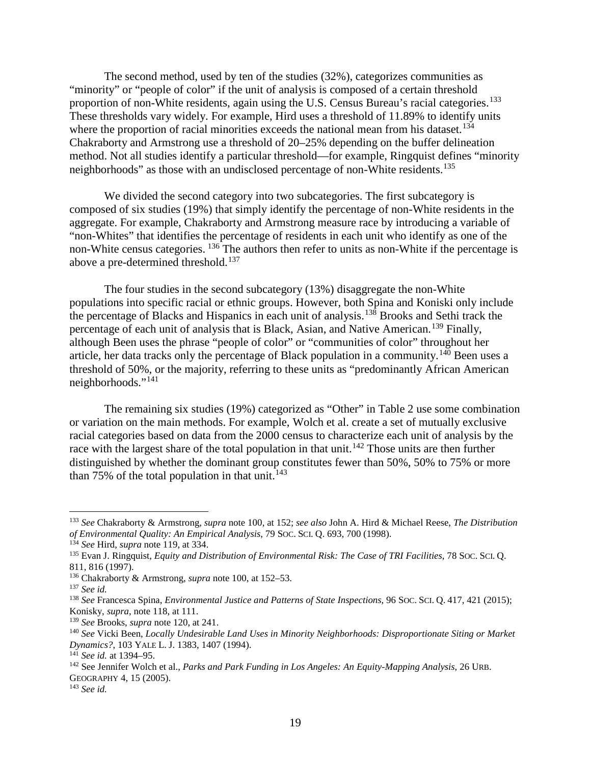<span id="page-18-11"></span>The second method, used by ten of the studies (32%), categorizes communities as "minority" or "people of color" if the unit of analysis is composed of a certain threshold proportion of non-White residents, again using the U.S. Census Bureau's racial categories.<sup>[133](#page-18-0)</sup> These thresholds vary widely. For example, Hird uses a threshold of 11.89% to identify units where the proportion of racial minorities exceeds the national mean from his dataset.<sup>[134](#page-18-1)</sup> Chakraborty and Armstrong use a threshold of 20–25% depending on the buffer delineation method. Not all studies identify a particular threshold—for example, Ringquist defines "minority neighborhoods" as those with an undisclosed percentage of non-White residents.<sup>[135](#page-18-2)</sup>

We divided the second category into two subcategories. The first subcategory is composed of six studies (19%) that simply identify the percentage of non-White residents in the aggregate. For example, Chakraborty and Armstrong measure race by introducing a variable of "non-Whites" that identifies the percentage of residents in each unit who identify as one of the non-White census categories. <sup>[136](#page-18-3)</sup> The authors then refer to units as non-White if the percentage is above a pre-determined threshold.<sup>[137](#page-18-4)</sup>

The four studies in the second subcategory (13%) disaggregate the non-White populations into specific racial or ethnic groups. However, both Spina and Koniski only include the percentage of Blacks and Hispanics in each unit of analysis.<sup>[138](#page-18-5)</sup> Brooks and Sethi track the percentage of each unit of analysis that is Black, Asian, and Native American.<sup>[139](#page-18-6)</sup> Finally, although Been uses the phrase "people of color" or "communities of color" throughout her article, her data tracks only the percentage of Black population in a community.[140](#page-18-7) Been uses a threshold of 50%, or the majority, referring to these units as "predominantly African American neighborhoods."[141](#page-18-8)

<span id="page-18-12"></span>The remaining six studies (19%) categorized as "Other" in Table 2 use some combination or variation on the main methods. For example, Wolch et al. create a set of mutually exclusive racial categories based on data from the 2000 census to characterize each unit of analysis by the race with the largest share of the total population in that unit.<sup>[142](#page-18-9)</sup> Those units are then further distinguished by whether the dominant group constitutes fewer than 50%, 50% to 75% or more than 75% of the total population in that unit.<sup>[143](#page-18-10)</sup>

<span id="page-18-0"></span> <sup>133</sup> *See* Chakraborty & Armstrong, *supra* not[e 100,](#page-14-9) at 152; *see also* John A. Hird & Michael Reese, *The Distribution of Environmental Quality: An Empirical Analysis*, 79 SOC. SCI. Q. 693, 700 (1998).

<span id="page-18-1"></span><sup>134</sup> *See* Hird, *supra* note [119,](#page-16-8) at 334.

<span id="page-18-2"></span><sup>135</sup> Evan J. Ringquist, *Equity and Distribution of Environmental Risk: The Case of TRI Facilities*, 78 SOC. SCI. Q. 811, 816 (1997).

<span id="page-18-3"></span><sup>136</sup> Chakraborty & Armstrong, *supra* note [100,](#page-14-9) at 152–53.

<span id="page-18-4"></span><sup>137</sup> *See id.*

<span id="page-18-5"></span><sup>138</sup> *See* Francesca Spina, *Environmental Justice and Patterns of State Inspections*, 96 SOC. SCI. Q. 417, 421 (2015); Konisky, *supra*, note [118,](#page-15-14) at 111.

<span id="page-18-6"></span><sup>139</sup> *See* Brooks, *supra* note [120,](#page-16-9) at 241.

<span id="page-18-7"></span><sup>140</sup> *See* Vicki Been, *Locally Undesirable Land Uses in Minority Neighborhoods: Disproportionate Siting or Market Dynamics?*, 103 YALE L. J. 1383, 1407 (1994).

<span id="page-18-8"></span><sup>141</sup> *See id.* at 1394–95.

<span id="page-18-9"></span><sup>142</sup> See Jennifer Wolch et al., *Parks and Park Funding in Los Angeles: An Equity-Mapping Analysis*, 26 URB. GEOGRAPHY 4, 15 (2005).

<span id="page-18-10"></span><sup>143</sup> *See id.*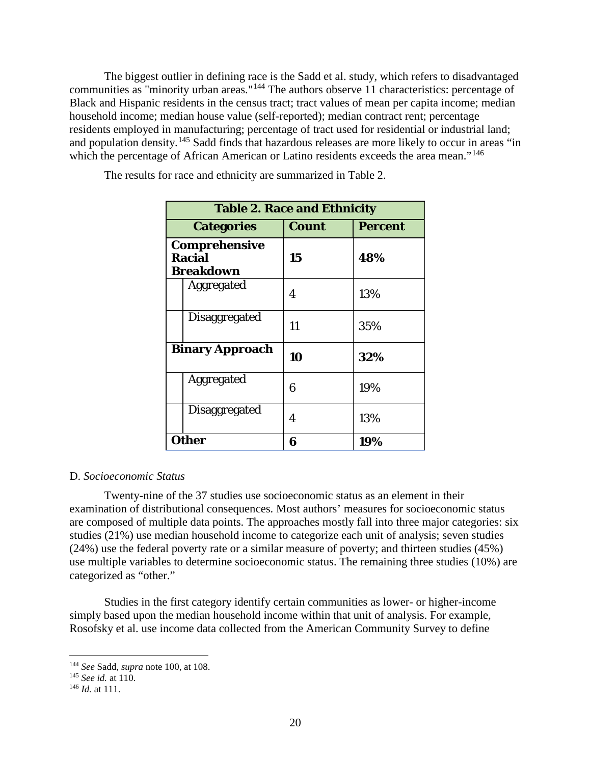The biggest outlier in defining race is the Sadd et al. study, which refers to disadvantaged communities as "minority urban areas."[144](#page-19-1) The authors observe 11 characteristics: percentage of Black and Hispanic residents in the census tract; tract values of mean per capita income; median household income; median house value (self-reported); median contract rent; percentage residents employed in manufacturing; percentage of tract used for residential or industrial land; and population density.<sup>[145](#page-19-2)</sup> Sadd finds that hazardous releases are more likely to occur in areas "in which the percentage of African American or Latino residents exceeds the area mean."<sup>[146](#page-19-3)</sup>

**Table 2. Race and Ethnicity**

The results for race and ethnicity are summarized in Table 2.

| Table 2. Race and Ethnicity                               |              |                |
|-----------------------------------------------------------|--------------|----------------|
| <b>Categories</b>                                         | <b>Count</b> | <b>Percent</b> |
| <b>Comprehensive</b><br><b>Racial</b><br><b>Breakdown</b> | 15           | 48%            |
| Aggregated                                                | 4            | 13%            |
| Disaggregated                                             | 11           | 35%            |
| <b>Binary Approach</b>                                    | 10           | 32%            |
| Aggregated                                                | 6            | 19%            |
| Disaggregated                                             | 4            | 13%            |
| <b>Other</b>                                              | 6            | 19%            |

## <span id="page-19-0"></span>D. *Socioeconomic Status*

Twenty-nine of the 37 studies use socioeconomic status as an element in their examination of distributional consequences. Most authors' measures for socioeconomic status are composed of multiple data points. The approaches mostly fall into three major categories: six studies (21%) use median household income to categorize each unit of analysis; seven studies (24%) use the federal poverty rate or a similar measure of poverty; and thirteen studies (45%) use multiple variables to determine socioeconomic status. The remaining three studies (10%) are categorized as "other."

Studies in the first category identify certain communities as lower- or higher-income simply based upon the median household income within that unit of analysis. For example, Rosofsky et al. use income data collected from the American Community Survey to define

<span id="page-19-1"></span> <sup>144</sup> *See* Sadd, *supra* not[e 100,](#page-14-9) at 108.

<span id="page-19-2"></span><sup>145</sup> *See id.* at 110.

<span id="page-19-3"></span><sup>146</sup> *Id.* at 111.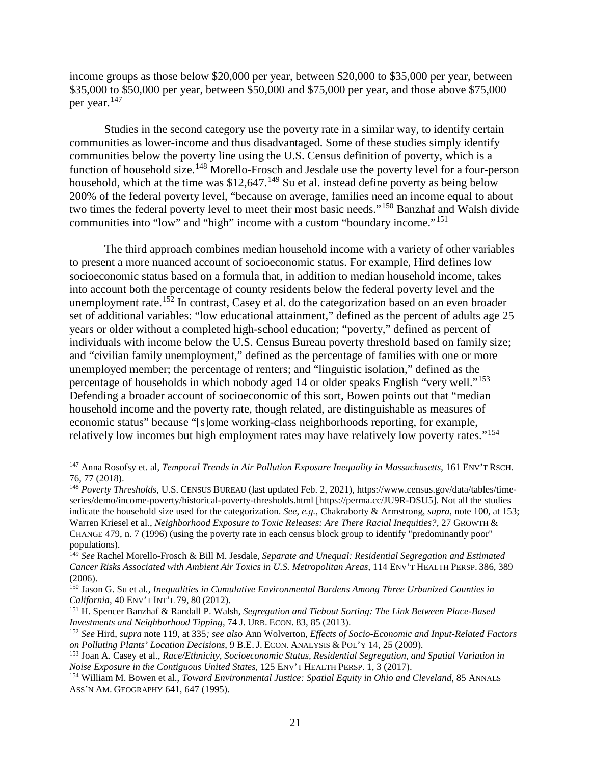<span id="page-20-11"></span>income groups as those below \$20,000 per year, between \$20,000 to \$35,000 per year, between \$35,000 to \$50,000 per year, between \$50,000 and \$75,000 per year, and those above \$75,000 per year.[147](#page-20-0)

<span id="page-20-9"></span><span id="page-20-8"></span>Studies in the second category use the poverty rate in a similar way, to identify certain communities as lower-income and thus disadvantaged. Some of these studies simply identify communities below the poverty line using the U.S. Census definition of poverty, which is a function of household size.<sup>[148](#page-20-1)</sup> Morello-Frosch and Jesdale use the poverty level for a four-person household, which at the time was  $$12,647$ .<sup>[149](#page-20-2)</sup> Su et al. instead define poverty as being below 200% of the federal poverty level, "because on average, families need an income equal to about two times the federal poverty level to meet their most basic needs."[150](#page-20-3) Banzhaf and Walsh divide communities into "low" and "high" income with a custom "boundary income."[151](#page-20-4)

<span id="page-20-12"></span><span id="page-20-10"></span>The third approach combines median household income with a variety of other variables to present a more nuanced account of socioeconomic status. For example, Hird defines low socioeconomic status based on a formula that, in addition to median household income, takes into account both the percentage of county residents below the federal poverty level and the unemployment rate.<sup>[152](#page-20-5)</sup> In contrast, Casey et al. do the categorization based on an even broader set of additional variables: "low educational attainment," defined as the percent of adults age 25 years or older without a completed high-school education; "poverty," defined as percent of individuals with income below the U.S. Census Bureau poverty threshold based on family size; and "civilian family unemployment," defined as the percentage of families with one or more unemployed member; the percentage of renters; and "linguistic isolation," defined as the percentage of households in which nobody aged 14 or older speaks English "very well."[153](#page-20-6) Defending a broader account of socioeconomic of this sort, Bowen points out that "median household income and the poverty rate, though related, are distinguishable as measures of economic status" because "[s]ome working-class neighborhoods reporting, for example, relatively low incomes but high employment rates may have relatively low poverty rates."[154](#page-20-7)

<span id="page-20-13"></span><span id="page-20-0"></span> <sup>147</sup> Anna Rosofsy et. al, *Temporal Trends in Air Pollution Exposure Inequality in Massachusetts*, 161 ENV'T RSCH. 76, 77 (2018).

<span id="page-20-1"></span><sup>148</sup> *Poverty Thresholds*, U.S. CENSUS BUREAU (last updated Feb. 2, 2021), https://www.census.gov/data/tables/timeseries/demo/income-poverty/historical-poverty-thresholds.html [https://perma.cc/JU9R-DSU5]. Not all the studies indicate the household size used for the categorization. *See, e.g.*, Chakraborty & Armstrong, *supra*, note [100,](#page-14-9) at 153; Warren Kriesel et al., *Neighborhood Exposure to Toxic Releases: Are There Racial Inequities?,* 27 GROWTH & CHANGE 479, n. 7 (1996) (using the poverty rate in each census block group to identify "predominantly poor" populations).

<span id="page-20-2"></span><sup>149</sup> *See* Rachel Morello-Frosch & Bill M. Jesdale, *Separate and Unequal: Residential Segregation and Estimated Cancer Risks Associated with Ambient Air Toxics in U.S. Metropolitan Areas*, 114 ENV'T HEALTH PERSP. 386, 389 (2006).

<span id="page-20-3"></span><sup>150</sup> Jason G. Su et al*., Inequalities in Cumulative Environmental Burdens Among Three Urbanized Counties in California*, 40 ENV'T INT'L 79, 80 (2012).

<span id="page-20-4"></span><sup>151</sup> H. Spencer Banzhaf & Randall P. Walsh, *Segregation and Tiebout Sorting: The Link Between Place-Based Investments and Neighborhood Tipping*, 74 J. URB. ECON. 83, 85 (2013).

<span id="page-20-5"></span><sup>152</sup> *See* Hird, *supra* note [119,](#page-16-8) at 335*; see also* Ann Wolverton, *Effects of Socio-Economic and Input-Related Factors on Polluting Plants' Location Decisions*, 9 B.E. J. ECON. ANALYSIS & POL'Y 14, 25 (2009).

<span id="page-20-6"></span><sup>153</sup> Joan A. Casey et al., *Race/Ethnicity, Socioeconomic Status, Residential Segregation, and Spatial Variation in Noise Exposure in the Contiguous United States*, 125 ENV'T HEALTH PERSP. 1, 3 (2017).

<span id="page-20-7"></span><sup>154</sup> William M. Bowen et al., *Toward Environmental Justice: Spatial Equity in Ohio and Cleveland*, 85 ANNALS ASS'N AM. GEOGRAPHY 641, 647 (1995).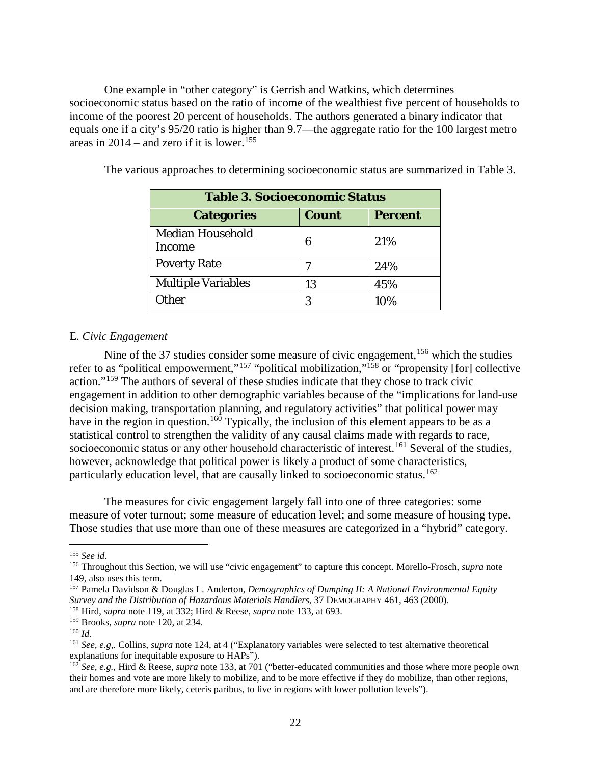One example in "other category" is Gerrish and Watkins, which determines socioeconomic status based on the ratio of income of the wealthiest five percent of households to income of the poorest 20 percent of households. The authors generated a binary indicator that equals one if a city's 95/20 ratio is higher than 9.7—the aggregate ratio for the 100 largest metro areas in 2014 – and zero if it is lower. [155](#page-21-1)

<span id="page-21-10"></span>

| <b>Table 3. Socioeconomic Status</b>     |              |                |
|------------------------------------------|--------------|----------------|
| <b>Categories</b>                        | <b>Count</b> | <b>Percent</b> |
| <b>Median Household</b><br><b>Income</b> | 6            | 21%            |
| <b>Poverty Rate</b>                      |              | 24%            |
| <b>Multiple Variables</b>                | 13           | 45%            |
| <b>Ither</b>                             | 3            | 10%            |

The various approaches to determining socioeconomic status are summarized in Table 3.

## <span id="page-21-0"></span>E. *Civic Engagement*

<span id="page-21-9"></span>Nine of the 37 studies consider some measure of civic engagement, <sup>[156](#page-21-2)</sup> which the studies refer to as "political empowerment,"<sup>[157](#page-21-3)</sup> "political mobilization,"<sup>[158](#page-21-4)</sup> or "propensity [for] collective action."[159](#page-21-5) The authors of several of these studies indicate that they chose to track civic engagement in addition to other demographic variables because of the "implications for land-use decision making, transportation planning, and regulatory activities" that political power may have in the region in question.<sup>[160](#page-21-6)</sup> Typically, the inclusion of this element appears to be as a statistical control to strengthen the validity of any causal claims made with regards to race, socioeconomic status or any other household characteristic of interest.<sup>[161](#page-21-7)</sup> Several of the studies, however, acknowledge that political power is likely a product of some characteristics, particularly education level, that are causally linked to socioeconomic status.<sup>[162](#page-21-8)</sup>

The measures for civic engagement largely fall into one of three categories: some measure of voter turnout; some measure of education level; and some measure of housing type. Those studies that use more than one of these measures are categorized in a "hybrid" category.

<span id="page-21-1"></span> <sup>155</sup> *See id.*

<span id="page-21-2"></span><sup>156</sup> Throughout this Section, we will use "civic engagement" to capture this concept. Morello-Frosch, *supra* note [149,](#page-20-8) also uses this term.

<span id="page-21-3"></span><sup>157</sup> Pamela Davidson & Douglas L. Anderton, *Demographics of Dumping II: A National Environmental Equity Survey and the Distribution of Hazardous Materials Handlers*, 37 DEMOGRAPHY 461, 463 (2000).

<span id="page-21-4"></span><sup>158</sup> Hird, *supra* not[e 119,](#page-16-8) at 332; Hird & Reese, *supra* note [133,](#page-18-11) at 693.

<sup>159</sup> Brooks, *supra* note [120,](#page-16-9) at 234.

<span id="page-21-6"></span><span id="page-21-5"></span><sup>160</sup> *Id.*

<span id="page-21-7"></span><sup>161</sup> *See, e.g*,*.* Collins, *supra* note [124,](#page-16-10) at 4 ("Explanatory variables were selected to test alternative theoretical explanations for inequitable exposure to HAPs").

<span id="page-21-8"></span><sup>&</sup>lt;sup>162</sup> *See, e.g.*, Hird & Reese, *supra* note [133,](#page-18-11) at 701 ("better-educated communities and those where more people own their homes and vote are more likely to mobilize, and to be more effective if they do mobilize, than other regions, and are therefore more likely, ceteris paribus, to live in regions with lower pollution levels").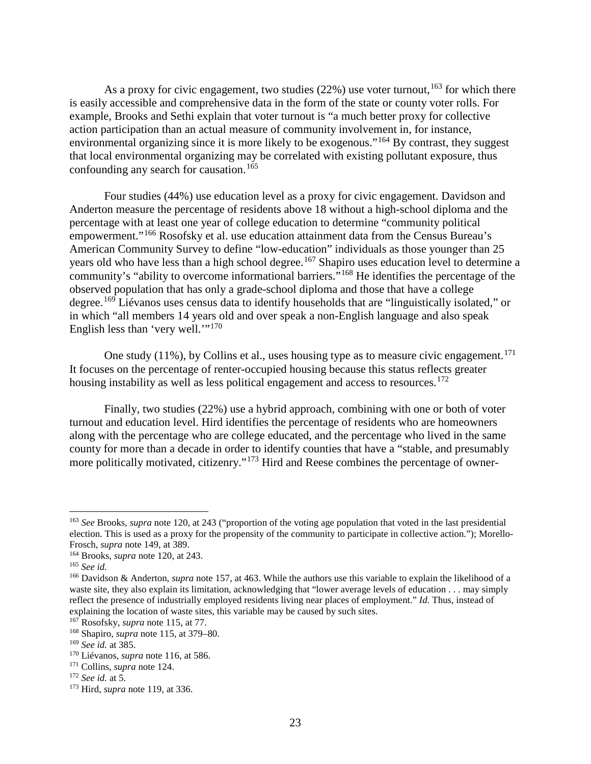As a proxy for civic engagement, two studies  $(22%)$  use voter turnout,  $^{163}$  $^{163}$  $^{163}$  for which there is easily accessible and comprehensive data in the form of the state or county voter rolls. For example, Brooks and Sethi explain that voter turnout is "a much better proxy for collective action participation than an actual measure of community involvement in, for instance, environmental organizing since it is more likely to be exogenous."[164](#page-22-1) By contrast, they suggest that local environmental organizing may be correlated with existing pollutant exposure, thus confounding any search for causation.<sup>[165](#page-22-2)</sup>

Four studies (44%) use education level as a proxy for civic engagement. Davidson and Anderton measure the percentage of residents above 18 without a high-school diploma and the percentage with at least one year of college education to determine "community political empowerment."[166](#page-22-3) Rosofsky et al. use education attainment data from the Census Bureau's American Community Survey to define "low-education" individuals as those younger than 25 years old who have less than a high school degree.<sup>[167](#page-22-4)</sup> Shapiro uses education level to determine a community's "ability to overcome informational barriers."<sup>[168](#page-22-5)</sup> He identifies the percentage of the observed population that has only a grade-school diploma and those that have a college degree.[169](#page-22-6) Liévanos uses census data to identify households that are "linguistically isolated," or in which "all members 14 years old and over speak a non-English language and also speak English less than 'very well.'"<sup>[170](#page-22-7)</sup>

One study  $(11\%)$ , by Collins et al., uses housing type as to measure civic engagement.<sup>[171](#page-22-8)</sup> It focuses on the percentage of renter-occupied housing because this status reflects greater housing instability as well as less political engagement and access to resources.<sup>[172](#page-22-9)</sup>

Finally, two studies (22%) use a hybrid approach, combining with one or both of voter turnout and education level. Hird identifies the percentage of residents who are homeowners along with the percentage who are college educated, and the percentage who lived in the same county for more than a decade in order to identify counties that have a "stable, and presumably more politically motivated, citizenry."[173](#page-22-10) Hird and Reese combines the percentage of owner-

<span id="page-22-0"></span> <sup>163</sup> *See* Brooks, *supra* note [120,](#page-16-9) at 243 ("proportion of the voting age population that voted in the last presidential election. This is used as a proxy for the propensity of the community to participate in collective action."); Morello-Frosch, *supra* note [149,](#page-20-8) at 389.

<span id="page-22-1"></span><sup>164</sup> Brooks, *supra* note [120,](#page-16-9) at 243.

<span id="page-22-2"></span><sup>165</sup> *See id.*

<span id="page-22-3"></span><sup>166</sup> Davidson & Anderton, *supra* note [157,](#page-21-9) at 463. While the authors use this variable to explain the likelihood of a waste site, they also explain its limitation, acknowledging that "lower average levels of education . . . may simply reflect the presence of industrially employed residents living near places of employment." *Id.* Thus, instead of explaining the location of waste sites, this variable may be caused by such sites.

<span id="page-22-4"></span><sup>167</sup> Rosofsky, *supra* note [115,](#page-15-15) at 77.

<span id="page-22-5"></span><sup>168</sup> Shapiro, *supra* note [115,](#page-15-15) at 379–80.

<span id="page-22-6"></span><sup>169</sup> *See id.* at 385.

<span id="page-22-7"></span><sup>170</sup> Liévanos, *supra* note [116,](#page-15-16) at 586.

<span id="page-22-8"></span><sup>171</sup> Collins, *supra* note [124.](#page-16-10)

<span id="page-22-9"></span><sup>172</sup> *See id.* at 5.

<span id="page-22-10"></span><sup>173</sup> Hird, *supra* not[e 119,](#page-16-8) at 336.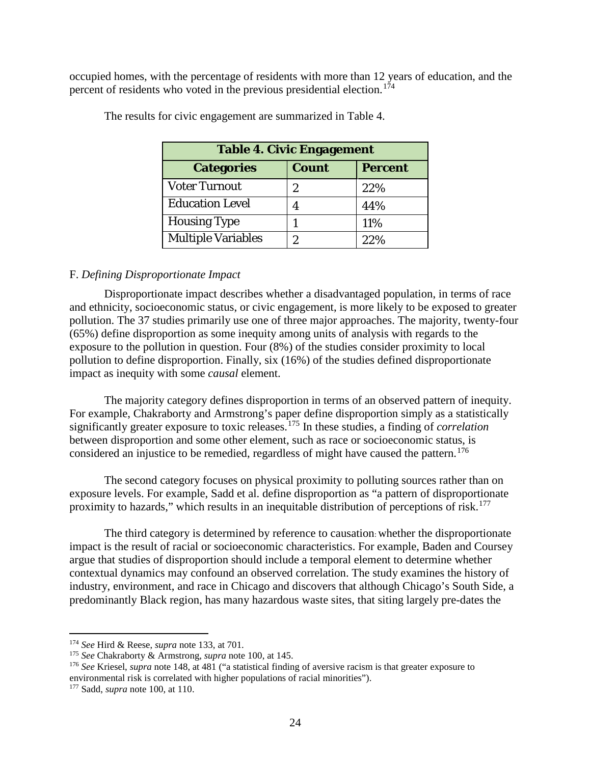occupied homes, with the percentage of residents with more than 12 years of education, and the percent of residents who voted in the previous presidential election.[174](#page-23-1)

| <b>Table 4. Civic Engagement</b> |              |                |
|----------------------------------|--------------|----------------|
| <b>Categories</b>                | <b>Count</b> | <b>Percent</b> |
| <b>Voter Turnout</b>             | 2            | 22%            |
| <b>Education Level</b>           |              | 44%            |
| <b>Housing Type</b>              |              | 11%            |
| <b>Multiple Variables</b>        | 2            | 22%            |

The results for civic engagement are summarized in Table 4.

### <span id="page-23-0"></span>F. *Defining Disproportionate Impact*

Disproportionate impact describes whether a disadvantaged population, in terms of race and ethnicity, socioeconomic status, or civic engagement, is more likely to be exposed to greater pollution. The 37 studies primarily use one of three major approaches. The majority, twenty-four (65%) define disproportion as some inequity among units of analysis with regards to the exposure to the pollution in question. Four (8%) of the studies consider proximity to local pollution to define disproportion. Finally, six (16%) of the studies defined disproportionate impact as inequity with some *causal* element.

The majority category defines disproportion in terms of an observed pattern of inequity. For example, Chakraborty and Armstrong's paper define disproportion simply as a statistically significantly greater exposure to toxic releases.[175](#page-23-2) In these studies, a finding of *correlation* between disproportion and some other element, such as race or socioeconomic status, is considered an injustice to be remedied, regardless of might have caused the pattern. [176](#page-23-3)

The second category focuses on physical proximity to polluting sources rather than on exposure levels. For example, Sadd et al. define disproportion as "a pattern of disproportionate proximity to hazards," which results in an inequitable distribution of perceptions of risk.<sup>[177](#page-23-4)</sup>

The third category is determined by reference to causation: whether the disproportionate impact is the result of racial or socioeconomic characteristics. For example, Baden and Coursey argue that studies of disproportion should include a temporal element to determine whether contextual dynamics may confound an observed correlation. The study examines the history of industry, environment, and race in Chicago and discovers that although Chicago's South Side, a predominantly Black region, has many hazardous waste sites, that siting largely pre-dates the

<span id="page-23-1"></span> <sup>174</sup> *See* Hird & Reese, *supra* not[e 133,](#page-18-11) at 701.

<span id="page-23-2"></span><sup>175</sup> *See* Chakraborty & Armstrong, *supra* not[e 100,](#page-14-9) at 145.

<span id="page-23-3"></span><sup>176</sup> *See* Kriesel, *supra* note [148,](#page-20-9) at 481 ("a statistical finding of aversive racism is that greater exposure to environmental risk is correlated with higher populations of racial minorities").

<span id="page-23-4"></span><sup>177</sup> Sadd, *supra* note [100,](#page-14-9) at 110.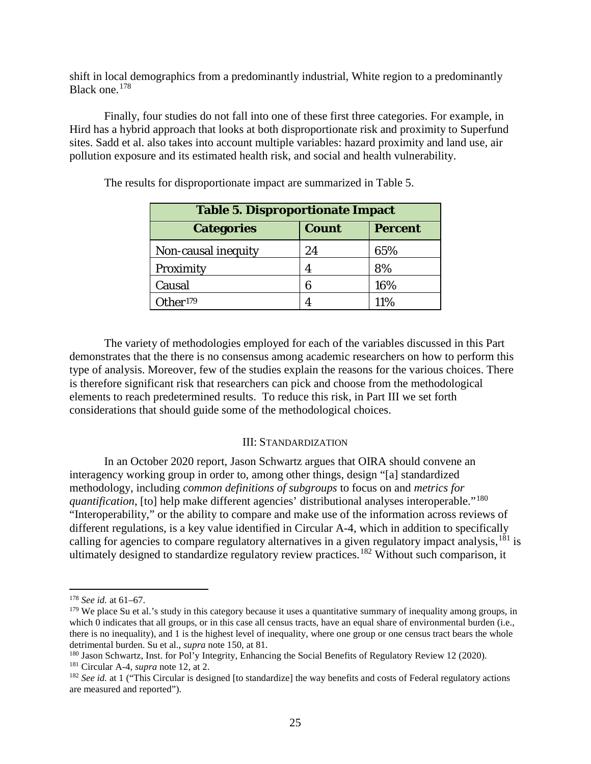shift in local demographics from a predominantly industrial, White region to a predominantly Black one.[178](#page-24-1)

Finally, four studies do not fall into one of these first three categories. For example, in Hird has a hybrid approach that looks at both disproportionate risk and proximity to Superfund sites. Sadd et al. also takes into account multiple variables: hazard proximity and land use, air pollution exposure and its estimated health risk, and social and health vulnerability.

| <b>Table 5. Disproportionate Impact</b> |              |                |
|-----------------------------------------|--------------|----------------|
| <b>Categories</b>                       | <b>Count</b> | <b>Percent</b> |
| Non-causal inequity                     | 24           | 65%            |
| Proximity                               | 4            | 8%             |
| Causal                                  | 6            | 16%            |
| Other <sup>179</sup>                    |              | 11%            |

The results for disproportionate impact are summarized in Table 5.

The variety of methodologies employed for each of the variables discussed in this Part demonstrates that the there is no consensus among academic researchers on how to perform this type of analysis. Moreover, few of the studies explain the reasons for the various choices. There is therefore significant risk that researchers can pick and choose from the methodological elements to reach predetermined results. To reduce this risk, in Part III we set forth considerations that should guide some of the methodological choices.

### <span id="page-24-6"></span>III: STANDARDIZATION

<span id="page-24-0"></span>In an October 2020 report, Jason Schwartz argues that OIRA should convene an interagency working group in order to, among other things, design "[a] standardized methodology, including *common definitions of subgroups* to focus on and *metrics for quantification*, [to] help make different agencies' distributional analyses interoperable."<sup>[180](#page-24-3)</sup> "Interoperability," or the ability to compare and make use of the information across reviews of different regulations, is a key value identified in Circular A-4, which in addition to specifically calling for agencies to compare regulatory alternatives in a given regulatory impact analysis, <sup>[181](#page-24-4)</sup> is ultimately designed to standardize regulatory review practices.<sup>[182](#page-24-5)</sup> Without such comparison, it

<span id="page-24-1"></span> <sup>178</sup> *See id.* at 61–67.

<span id="page-24-2"></span> $179$  We place Su et al.'s study in this category because it uses a quantitative summary of inequality among groups, in which  $\overline{0}$  indicates that all groups, or in this case all census tracts, have an equal share of environmental burden (i.e., there is no inequality), and 1 is the highest level of inequality, where one group or one census tract bears the whole detrimental burden. Su et al., *supra* note [150,](#page-20-10) at 81.

<span id="page-24-3"></span><sup>180</sup> Jason Schwartz, Inst. for Pol'y Integrity, Enhancing the Social Benefits of Regulatory Review 12 (2020). <sup>181</sup> Circular A-4, *supra* note [12,](#page-3-2) at 2.

<span id="page-24-5"></span><span id="page-24-4"></span><sup>&</sup>lt;sup>182</sup> *See id.* at 1 ("This Circular is designed [to standardize] the way benefits and costs of Federal regulatory actions are measured and reported").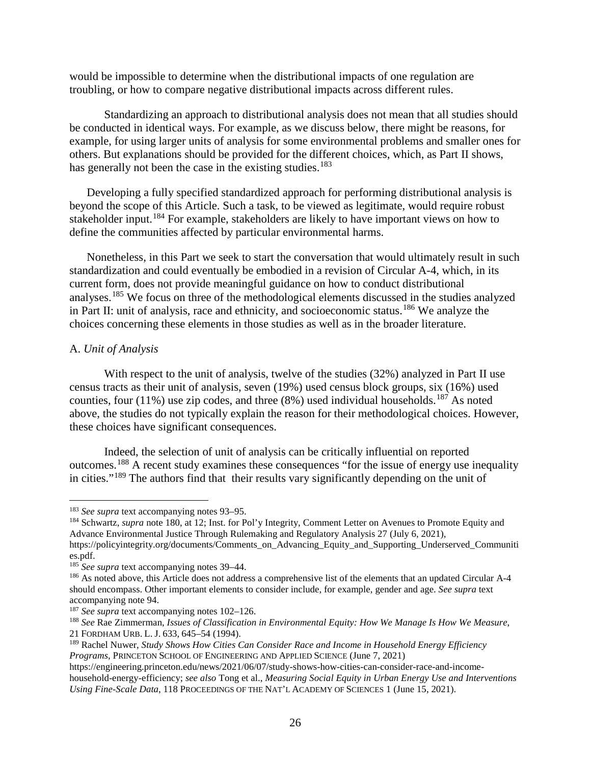would be impossible to determine when the distributional impacts of one regulation are troubling, or how to compare negative distributional impacts across different rules.

Standardizing an approach to distributional analysis does not mean that all studies should be conducted in identical ways. For example, as we discuss below, there might be reasons, for example, for using larger units of analysis for some environmental problems and smaller ones for others. But explanations should be provided for the different choices, which, as Part II shows, has generally not been the case in the existing studies.<sup>[183](#page-25-1)</sup>

<span id="page-25-10"></span>Developing a fully specified standardized approach for performing distributional analysis is beyond the scope of this Article. Such a task, to be viewed as legitimate, would require robust stakeholder input.<sup>[184](#page-25-2)</sup> For example, stakeholders are likely to have important views on how to define the communities affected by particular environmental harms.

Nonetheless, in this Part we seek to start the conversation that would ultimately result in such standardization and could eventually be embodied in a revision of Circular A-4, which, in its current form, does not provide meaningful guidance on how to conduct distributional analyses.<sup>[185](#page-25-3)</sup> We focus on three of the methodological elements discussed in the studies analyzed in Part II: unit of analysis, race and ethnicity, and socioeconomic status.<sup>[186](#page-25-4)</sup> We analyze the choices concerning these elements in those studies as well as in the broader literature.

## <span id="page-25-0"></span>A. *Unit of Analysis*

With respect to the unit of analysis, twelve of the studies (32%) analyzed in Part II use census tracts as their unit of analysis, seven (19%) used census block groups, six (16%) used counties, four (11%) use zip codes, and three  $(8%)$  used individual households.<sup>[187](#page-25-5)</sup> As noted above, the studies do not typically explain the reason for their methodological choices. However, these choices have significant consequences.

<span id="page-25-9"></span><span id="page-25-8"></span>Indeed, the selection of unit of analysis can be critically influential on reported outcomes.[188](#page-25-6) A recent study examines these consequences "for the issue of energy use inequality in cities."[189](#page-25-7) The authors find that their results vary significantly depending on the unit of

<span id="page-25-2"></span><sup>184</sup> Schwartz, *supra* note [180,](#page-24-6) at 12; Inst. for Pol'y Integrity, Comment Letter on Avenues to Promote Equity and Advance Environmental Justice Through Rulemaking and Regulatory Analysis 27 (July 6, 2021),

https://policyintegrity.org/documents/Comments\_on\_Advancing\_Equity\_and\_Supporting\_Underserved\_Communiti es.pdf.

<span id="page-25-6"></span><sup>188</sup> *See* Rae Zimmerman, *Issues of Classification in Environmental Equity: How We Manage Is How We Measure*, 21 FORDHAM URB. L. J. 633, 645–54 (1994).

<span id="page-25-1"></span> <sup>183</sup> *See supra* text accompanying notes [93–](#page-13-7)[95.](#page-13-8)

<span id="page-25-3"></span><sup>185</sup> *See supra* text accompanying notes [39–](#page-6-12)[44.](#page-7-10)

<span id="page-25-4"></span><sup>&</sup>lt;sup>186</sup> As noted above, this Article does not address a comprehensive list of the elements that an updated Circular A-4 should encompass. Other important elements to consider include, for example, gender and age. *See supra* text accompanying note [94.](#page-13-9)

<span id="page-25-5"></span><sup>&</sup>lt;sup>187</sup> *See supra* text accompanying notes [102–](#page-14-11)[126.](#page-16-11)

<span id="page-25-7"></span><sup>189</sup> Rachel Nuwer, *Study Shows How Cities Can Consider Race and Income in Household Energy Efficiency Programs*, PRINCETON SCHOOL OF ENGINEERING AND APPLIED SCIENCE (June 7, 2021)

https://engineering.princeton.edu/news/2021/06/07/study-shows-how-cities-can-consider-race-and-incomehousehold-energy-efficiency; *see also* Tong et al., *Measuring Social Equity in Urban Energy Use and Interventions Using Fine-Scale Data*, 118 PROCEEDINGS OF THE NAT'L ACADEMY OF SCIENCES 1 (June 15, 2021).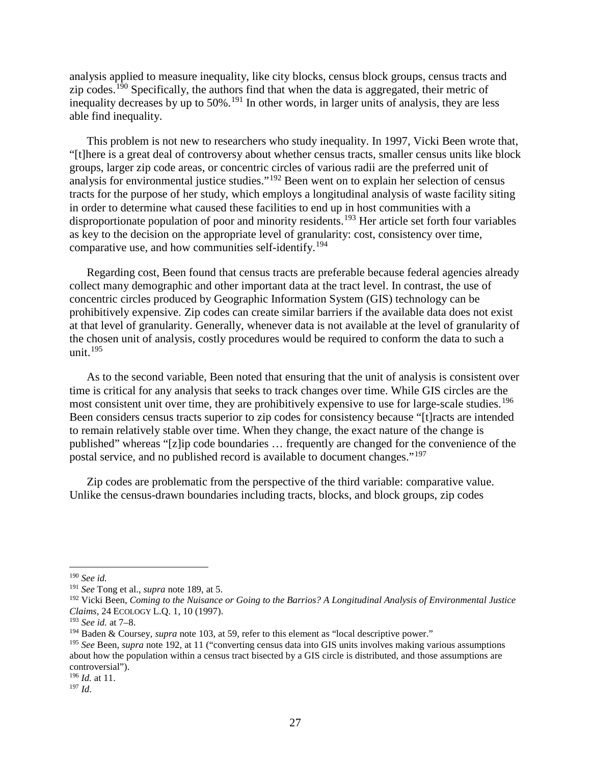analysis applied to measure inequality, like city blocks, census block groups, census tracts and zip codes.<sup>[190](#page-26-1)</sup> Specifically, the authors find that when the data is aggregated, their metric of inequality decreases by up to 50%.[191](#page-26-2) In other words, in larger units of analysis, they are less able find inequality.

<span id="page-26-0"></span>This problem is not new to researchers who study inequality. In 1997, Vicki Been wrote that, "[t]here is a great deal of controversy about whether census tracts, smaller census units like block groups, larger zip code areas, or concentric circles of various radii are the preferred unit of analysis for environmental justice studies."[192](#page-26-3) Been went on to explain her selection of census tracts for the purpose of her study, which employs a longitudinal analysis of waste facility siting in order to determine what caused these facilities to end up in host communities with a disproportionate population of poor and minority residents.<sup>[193](#page-26-4)</sup> Her article set forth four variables as key to the decision on the appropriate level of granularity: cost, consistency over time, comparative use, and how communities self-identify.[194](#page-26-5)

Regarding cost, Been found that census tracts are preferable because federal agencies already collect many demographic and other important data at the tract level. In contrast, the use of concentric circles produced by Geographic Information System (GIS) technology can be prohibitively expensive. Zip codes can create similar barriers if the available data does not exist at that level of granularity. Generally, whenever data is not available at the level of granularity of the chosen unit of analysis, costly procedures would be required to conform the data to such a unit. $195$ 

<span id="page-26-9"></span>As to the second variable, Been noted that ensuring that the unit of analysis is consistent over time is critical for any analysis that seeks to track changes over time. While GIS circles are the most consistent unit over time, they are prohibitively expensive to use for large-scale studies.<sup>[196](#page-26-7)</sup> Been considers census tracts superior to zip codes for consistency because "[t]racts are intended to remain relatively stable over time. When they change, the exact nature of the change is published" whereas "[z]ip code boundaries … frequently are changed for the convenience of the postal service, and no published record is available to document changes."[197](#page-26-8)

Zip codes are problematic from the perspective of the third variable: comparative value. Unlike the census-drawn boundaries including tracts, blocks, and block groups, zip codes

<span id="page-26-1"></span> <sup>190</sup> *See id.*

<span id="page-26-2"></span><sup>191</sup> *See* Tong et al., *supra* not[e 189,](#page-25-8) at 5.

<span id="page-26-3"></span><sup>192</sup> Vicki Been, *Coming to the Nuisance or Going to the Barrios? A Longitudinal Analysis of Environmental Justice Claims*, 24 ECOLOGY L.Q. 1, 10 (1997).

<span id="page-26-4"></span><sup>193</sup> *See id.* at 7–8.

<span id="page-26-5"></span><sup>194</sup> Baden & Coursey, *supra* note [103,](#page-14-8) at 59, refer to this element as "local descriptive power."

<span id="page-26-6"></span><sup>195</sup> *See* Been, *supra* note [192,](#page-26-0) at 11 ("converting census data into GIS units involves making various assumptions about how the population within a census tract bisected by a GIS circle is distributed, and those assumptions are controversial").

<span id="page-26-7"></span><sup>196</sup> *Id.* at 11.

<span id="page-26-8"></span><sup>197</sup> *Id*.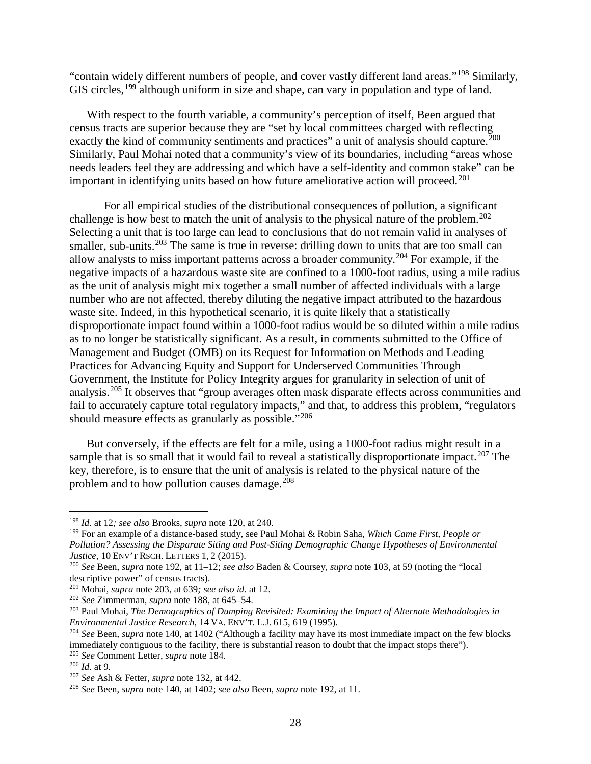"contain widely different numbers of people, and cover vastly different land areas."[198](#page-27-1) Similarly, GIS circles,**[199](#page-27-2)** although uniform in size and shape, can vary in population and type of land.

<span id="page-27-12"></span>With respect to the fourth variable, a community's perception of itself, Been argued that census tracts are superior because they are "set by local committees charged with reflecting exactly the kind of community sentiments and practices" a unit of analysis should capture.<sup>[200](#page-27-3)</sup> Similarly, Paul Mohai noted that a community's view of its boundaries, including "areas whose needs leaders feel they are addressing and which have a self-identity and common stake" can be important in identifying units based on how future ameliorative action will proceed.<sup>[201](#page-27-4)</sup>

<span id="page-27-14"></span><span id="page-27-13"></span><span id="page-27-0"></span>For all empirical studies of the distributional consequences of pollution, a significant challenge is how best to match the unit of analysis to the physical nature of the problem.<sup>[202](#page-27-5)</sup> Selecting a unit that is too large can lead to conclusions that do not remain valid in analyses of smaller, sub-units.<sup>[203](#page-27-6)</sup> The same is true in reverse: drilling down to units that are too small can allow analysts to miss important patterns across a broader community.[204](#page-27-7) For example, if the negative impacts of a hazardous waste site are confined to a 1000-foot radius, using a mile radius as the unit of analysis might mix together a small number of affected individuals with a large number who are not affected, thereby diluting the negative impact attributed to the hazardous waste site. Indeed, in this hypothetical scenario, it is quite likely that a statistically disproportionate impact found within a 1000-foot radius would be so diluted within a mile radius as to no longer be statistically significant. As a result, in comments submitted to the Office of Management and Budget (OMB) on its Request for Information on Methods and Leading Practices for Advancing Equity and Support for Underserved Communities Through Government, the Institute for Policy Integrity argues for granularity in selection of unit of analysis.[205](#page-27-8) It observes that "group averages often mask disparate effects across communities and fail to accurately capture total regulatory impacts," and that, to address this problem, "regulators should measure effects as granularly as possible."<sup>[206](#page-27-9)</sup>

<span id="page-27-17"></span><span id="page-27-16"></span><span id="page-27-15"></span>But conversely, if the effects are felt for a mile, using a 1000-foot radius might result in a sample that is so small that it would fail to reveal a statistically disproportionate impact.<sup>[207](#page-27-10)</sup> The key, therefore, is to ensure that the unit of analysis is related to the physical nature of the problem and to how pollution causes damage. $208$ 

<span id="page-27-1"></span> <sup>198</sup> *Id.* at 12*; see also* Brooks, *supra* note [120,](#page-16-9) at 240.

<span id="page-27-2"></span><sup>199</sup> For an example of a distance-based study, see Paul Mohai & Robin Saha, *Which Came First, People or Pollution? Assessing the Disparate Siting and Post-Siting Demographic Change Hypotheses of Environmental Justice*, 10 ENV'T RSCH. LETTERS 1, 2 (2015).

<span id="page-27-3"></span><sup>200</sup> *See* Been, *supra* note [192,](#page-26-0) at 11–12; *see also* Baden & Coursey, *supra* note [103,](#page-14-8) at 59 (noting the "local descriptive power" of census tracts).

<span id="page-27-4"></span><sup>201</sup> Mohai, *supra* note [203,](#page-27-0) at 639*; see also id*. at 12.

<span id="page-27-5"></span><sup>202</sup> *See* Zimmerman, *supra* note [188,](#page-25-9) at 645–54.

<span id="page-27-6"></span><sup>203</sup> Paul Mohai, *The Demographics of Dumping Revisited: Examining the Impact of Alternate Methodologies in Environmental Justice Research*, 14 VA. ENV'T. L.J. 615, 619 (1995).

<span id="page-27-7"></span><sup>204</sup> *See* Been, *supra* note [140,](#page-18-12) at 1402 ("Although a facility may have its most immediate impact on the few blocks immediately contiguous to the facility, there is substantial reason to doubt that the impact stops there"). <sup>205</sup> *See* Comment Letter, *supra* note [184.](#page-25-10)

<span id="page-27-9"></span><span id="page-27-8"></span><sup>206</sup> *Id.* at 9.

<span id="page-27-10"></span><sup>207</sup> *See* Ash & Fetter, *supra* note [132,](#page-17-7) at 442.

<span id="page-27-11"></span><sup>208</sup> *See* Been, *supra* note [140,](#page-18-12) at 1402; *see also* Been, *supra* note [192,](#page-26-0) at 11.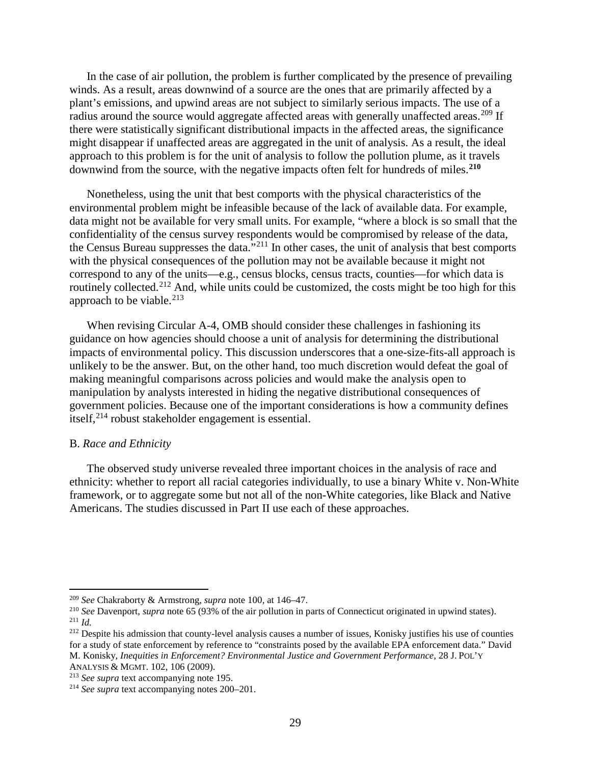In the case of air pollution, the problem is further complicated by the presence of prevailing winds. As a result, areas downwind of a source are the ones that are primarily affected by a plant's emissions, and upwind areas are not subject to similarly serious impacts. The use of a radius around the source would aggregate affected areas with generally unaffected areas.<sup>[209](#page-28-1)</sup> If there were statistically significant distributional impacts in the affected areas, the significance might disappear if unaffected areas are aggregated in the unit of analysis. As a result, the ideal approach to this problem is for the unit of analysis to follow the pollution plume, as it travels downwind from the source, with the negative impacts often felt for hundreds of miles. **[210](#page-28-2)**

Nonetheless, using the unit that best comports with the physical characteristics of the environmental problem might be infeasible because of the lack of available data. For example, data might not be available for very small units. For example, "where a block is so small that the confidentiality of the census survey respondents would be compromised by release of the data, the Census Bureau suppresses the data."[211](#page-28-3) In other cases, the unit of analysis that best comports with the physical consequences of the pollution may not be available because it might not correspond to any of the units—e.g., census blocks, census tracts, counties—for which data is routinely collected.<sup>[212](#page-28-4)</sup> And, while units could be customized, the costs might be too high for this approach to be viable. $213$ 

When revising Circular A-4, OMB should consider these challenges in fashioning its guidance on how agencies should choose a unit of analysis for determining the distributional impacts of environmental policy. This discussion underscores that a one-size-fits-all approach is unlikely to be the answer. But, on the other hand, too much discretion would defeat the goal of making meaningful comparisons across policies and would make the analysis open to manipulation by analysts interested in hiding the negative distributional consequences of government policies. Because one of the important considerations is how a community defines itself, [214](#page-28-6) robust stakeholder engagement is essential.

#### <span id="page-28-0"></span>B. *Race and Ethnicity*

The observed study universe revealed three important choices in the analysis of race and ethnicity: whether to report all racial categories individually, to use a binary White v. Non-White framework, or to aggregate some but not all of the non-White categories, like Black and Native Americans. The studies discussed in Part II use each of these approaches.

<span id="page-28-1"></span> <sup>209</sup> *See* Chakraborty & Armstrong, *supra* not[e 100,](#page-14-9) at 146–47.

<span id="page-28-2"></span><sup>210</sup> *See* Davenport, *supra* note [65](#page-9-2) (93% of the air pollution in parts of Connecticut originated in upwind states). <sup>211</sup> *Id.*

<span id="page-28-4"></span><span id="page-28-3"></span><sup>&</sup>lt;sup>212</sup> Despite his admission that county-level analysis causes a number of issues, Konisky justifies his use of counties for a study of state enforcement by reference to "constraints posed by the available EPA enforcement data." David M. Konisky, *Inequities in Enforcement? Environmental Justice and Government Performance*, 28 J. POL'Y ANALYSIS & MGMT. 102, 106 (2009).

<span id="page-28-5"></span><sup>213</sup> *See supra* text accompanying note [195.](#page-26-9)

<span id="page-28-6"></span><sup>214</sup> *See supra* text accompanying notes [200–](#page-27-12)[201.](#page-27-13)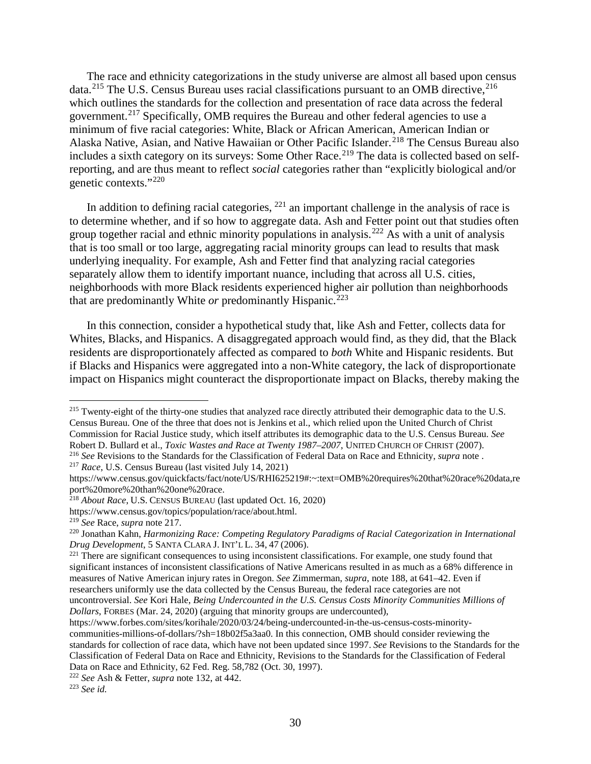<span id="page-29-0"></span>The race and ethnicity categorizations in the study universe are almost all based upon census data.<sup>[215](#page-29-1)</sup> The U.S. Census Bureau uses racial classifications pursuant to an OMB directive,<sup>[216](#page-29-2)</sup> which outlines the standards for the collection and presentation of race data across the federal government.<sup>[217](#page-29-3)</sup> Specifically, OMB requires the Bureau and other federal agencies to use a minimum of five racial categories: White, Black or African American, American Indian or Alaska Native, Asian, and Native Hawaiian or Other Pacific Islander.<sup>[218](#page-29-4)</sup> The Census Bureau also includes a sixth category on its surveys: Some Other Race.<sup>[219](#page-29-5)</sup> The data is collected based on selfreporting, and are thus meant to reflect *social* categories rather than "explicitly biological and/or genetic contexts."[220](#page-29-6)

In addition to defining racial categories,  $^{221}$  $^{221}$  $^{221}$  an important challenge in the analysis of race is to determine whether, and if so how to aggregate data. Ash and Fetter point out that studies often group together racial and ethnic minority populations in analysis.[222](#page-29-8) As with a unit of analysis that is too small or too large, aggregating racial minority groups can lead to results that mask underlying inequality. For example, Ash and Fetter find that analyzing racial categories separately allow them to identify important nuance, including that across all U.S. cities, neighborhoods with more Black residents experienced higher air pollution than neighborhoods that are predominantly White *or* predominantly Hispanic.<sup>[223](#page-29-9)</sup>

In this connection, consider a hypothetical study that, like Ash and Fetter, collects data for Whites, Blacks, and Hispanics. A disaggregated approach would find, as they did, that the Black residents are disproportionately affected as compared to *both* White and Hispanic residents. But if Blacks and Hispanics were aggregated into a non-White category, the lack of disproportionate impact on Hispanics might counteract the disproportionate impact on Blacks, thereby making the

<span id="page-29-1"></span><sup>&</sup>lt;sup>215</sup> Twenty-eight of the thirty-one studies that analyzed race directly attributed their demographic data to the U.S. Census Bureau. One of the three that does not is Jenkins et al., which relied upon the United Church of Christ Commission for Racial Justice study, which itself attributes its demographic data to the U.S. Census Bureau. *See*  Robert D. Bullard et al., *Toxic Wastes and Race at Twenty 1987–2007*, UNITED CHURCH OF CHRIST (2007).

<span id="page-29-2"></span><sup>216</sup> *See* Revisions to the Standards for the Classification of Federal Data on Race and Ethnicity, *supra* note . <sup>217</sup> *Race*, U.S. Census Bureau (last visited July 14, 2021)

<span id="page-29-3"></span>https://www.census.gov/quickfacts/fact/note/US/RHI625219#:~:text=OMB%20requires%20that%20race%20data,re port%20more%20than%20one%20race.

<span id="page-29-4"></span><sup>218</sup> *About Race*, U.S. CENSUS BUREAU (last updated Oct. 16, 2020)

https://www.census.gov/topics/population/race/about.html.

<span id="page-29-5"></span><sup>219</sup> *See* Race, *supra* not[e 217.](#page-29-0)

<span id="page-29-6"></span><sup>220</sup> Jonathan Kahn, *Harmonizing Race: Competing Regulatory Paradigms of Racial Categorization in International Drug Development*, 5 SANTA CLARA J. INT'L L. 34, 47 (2006).

<span id="page-29-7"></span><sup>&</sup>lt;sup>221</sup> There are significant consequences to using inconsistent classifications. For example, one study found that significant instances of inconsistent classifications of Native Americans resulted in as much as a 68% difference in measures of Native American injury rates in Oregon. *See* Zimmerman, *supra*, note [188,](#page-25-9) at 641–42. Even if researchers uniformly use the data collected by the Census Bureau, the federal race categories are not uncontroversial. *See* Kori Hale, *Being Undercounted in the U.S. Census Costs Minority Communities Millions of Dollars*, FORBES (Mar. 24, 2020) (arguing that minority groups are undercounted),

https://www.forbes.com/sites/korihale/2020/03/24/being-undercounted-in-the-us-census-costs-minoritycommunities-millions-of-dollars/?sh=18b02f5a3aa0. In this connection, OMB should consider reviewing the standards for collection of race data, which have not been updated since 1997. *See* Revisions to the Standards for the Classification of Federal Data on Race and Ethnicity, Revisions to the Standards for the Classification of Federal Data on Race and Ethnicity, 62 Fed. Reg. 58,782 (Oct. 30, 1997).

<span id="page-29-8"></span><sup>222</sup> *See* Ash & Fetter, *supra* note [132,](#page-17-7) at 442.

<span id="page-29-9"></span><sup>223</sup> *See id.*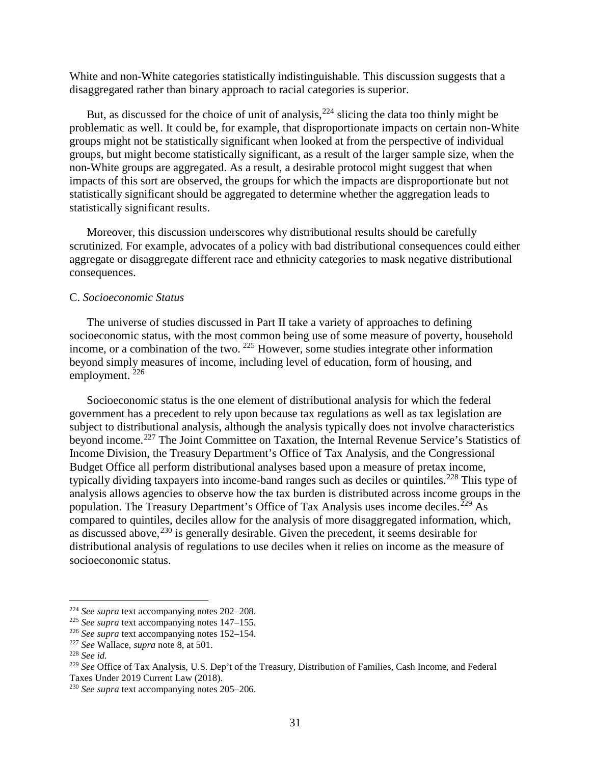White and non-White categories statistically indistinguishable. This discussion suggests that a disaggregated rather than binary approach to racial categories is superior.

But, as discussed for the choice of unit of analysis,  $224$  slicing the data too thinly might be problematic as well. It could be, for example, that disproportionate impacts on certain non-White groups might not be statistically significant when looked at from the perspective of individual groups, but might become statistically significant, as a result of the larger sample size, when the non-White groups are aggregated. As a result, a desirable protocol might suggest that when impacts of this sort are observed, the groups for which the impacts are disproportionate but not statistically significant should be aggregated to determine whether the aggregation leads to statistically significant results.

Moreover, this discussion underscores why distributional results should be carefully scrutinized. For example, advocates of a policy with bad distributional consequences could either aggregate or disaggregate different race and ethnicity categories to mask negative distributional consequences.

## <span id="page-30-0"></span>C. *Socioeconomic Status*

The universe of studies discussed in Part II take a variety of approaches to defining socioeconomic status, with the most common being use of some measure of poverty, household income, or a combination of the two. [225](#page-30-2) However, some studies integrate other information beyond simply measures of income, including level of education, form of housing, and employment. [226](#page-30-3)

Socioeconomic status is the one element of distributional analysis for which the federal government has a precedent to rely upon because tax regulations as well as tax legislation are subject to distributional analysis, although the analysis typically does not involve characteristics beyond income.[227](#page-30-4) The Joint Committee on Taxation, the Internal Revenue Service's Statistics of Income Division, the Treasury Department's Office of Tax Analysis, and the Congressional Budget Office all perform distributional analyses based upon a measure of pretax income, typically dividing taxpayers into income-band ranges such as deciles or quintiles.<sup>[228](#page-30-5)</sup> This type of analysis allows agencies to observe how the tax burden is distributed across income groups in the population. The Treasury Department's Office of Tax Analysis uses income deciles.<sup>[229](#page-30-6)</sup> As compared to quintiles, deciles allow for the analysis of more disaggregated information, which, as discussed above,  $230$  is generally desirable. Given the precedent, it seems desirable for distributional analysis of regulations to use deciles when it relies on income as the measure of socioeconomic status.

<span id="page-30-1"></span> <sup>224</sup> *See supra* text accompanying notes [202–](#page-27-14)[208.](#page-27-15)

<span id="page-30-2"></span><sup>225</sup> *See supra* text accompanying notes [147–](#page-20-11)[155.](#page-21-10)

<span id="page-30-3"></span><sup>226</sup> *See supra* text accompanying notes [152–](#page-20-12)[154.](#page-20-13)

<span id="page-30-4"></span><sup>227</sup> *See* Wallace, *supra* note [8,](#page-2-9) at 501.

<span id="page-30-5"></span><sup>228</sup> *See id.*

<span id="page-30-6"></span><sup>229</sup> *See* Office of Tax Analysis, U.S. Dep't of the Treasury, Distribution of Families, Cash Income, and Federal Taxes Under 2019 Current Law (2018).

<span id="page-30-7"></span><sup>230</sup> *See supra* text accompanying notes [205–](#page-27-16)[206.](#page-27-17)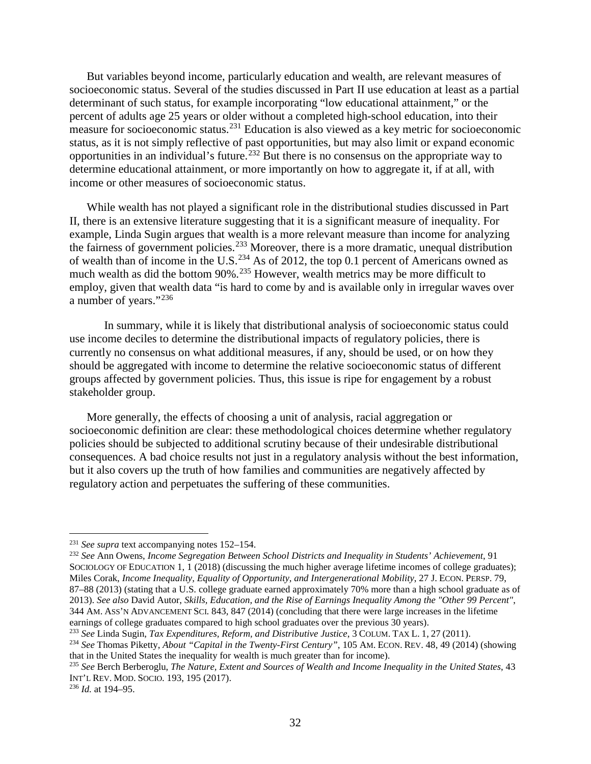But variables beyond income, particularly education and wealth, are relevant measures of socioeconomic status. Several of the studies discussed in Part II use education at least as a partial determinant of such status, for example incorporating "low educational attainment," or the percent of adults age 25 years or older without a completed high-school education, into their measure for socioeconomic status.<sup>[231](#page-31-0)</sup> Education is also viewed as a key metric for socioeconomic status, as it is not simply reflective of past opportunities, but may also limit or expand economic opportunities in an individual's future.[232](#page-31-1) But there is no consensus on the appropriate way to determine educational attainment, or more importantly on how to aggregate it, if at all, with income or other measures of socioeconomic status.

While wealth has not played a significant role in the distributional studies discussed in Part II, there is an extensive literature suggesting that it is a significant measure of inequality. For example, Linda Sugin argues that wealth is a more relevant measure than income for analyzing the fairness of government policies.<sup>[233](#page-31-2)</sup> Moreover, there is a more dramatic, unequal distribution of wealth than of income in the U.S.<sup>[234](#page-31-3)</sup> As of 2012, the top 0.1 percent of Americans owned as much wealth as did the bottom 90%.<sup>[235](#page-31-4)</sup> However, wealth metrics may be more difficult to employ, given that wealth data "is hard to come by and is available only in irregular waves over a number of years."[236](#page-31-5)

In summary, while it is likely that distributional analysis of socioeconomic status could use income deciles to determine the distributional impacts of regulatory policies, there is currently no consensus on what additional measures, if any, should be used, or on how they should be aggregated with income to determine the relative socioeconomic status of different groups affected by government policies. Thus, this issue is ripe for engagement by a robust stakeholder group.

More generally, the effects of choosing a unit of analysis, racial aggregation or socioeconomic definition are clear: these methodological choices determine whether regulatory policies should be subjected to additional scrutiny because of their undesirable distributional consequences. A bad choice results not just in a regulatory analysis without the best information, but it also covers up the truth of how families and communities are negatively affected by regulatory action and perpetuates the suffering of these communities.

<span id="page-31-1"></span><sup>232</sup> *See* Ann Owens, *Income Segregation Between School Districts and Inequality in Students' Achievement*, 91 SOCIOLOGY OF EDUCATION 1, 1 (2018) (discussing the much higher average lifetime incomes of college graduates); Miles Corak, *Income Inequality, Equality of Opportunity, and Intergenerational Mobility*, 27 J. ECON. PERSP. 79, 87–88 (2013) (stating that a U.S. college graduate earned approximately 70% more than a high school graduate as of 2013). *See also* David Autor, *Skills, Education, and the Rise of Earnings Inequality Among the "Other 99 Percent"*, 344 AM. ASS'N ADVANCEMENT SCI. 843, 847 (2014) (concluding that there were large increases in the lifetime earnings of college graduates compared to high school graduates over the previous 30 years).

<span id="page-31-0"></span> <sup>231</sup> *See supra* text accompanying notes [152–](#page-20-12)[154.](#page-20-13)

<span id="page-31-2"></span><sup>233</sup> *See* Linda Sugin, *Tax Expenditures, Reform, and Distributive Justice*, 3 COLUM. TAX L. 1, 27 (2011).

<span id="page-31-3"></span><sup>234</sup> *See* Thomas Piketty, *About "Capital in the Twenty-First Century"*, 105 AM. ECON. REV. 48, 49 (2014) (showing that in the United States the inequality for wealth is much greater than for income).

<span id="page-31-4"></span><sup>235</sup> *See* Berch Berberoglu, *The Nature, Extent and Sources of Wealth and Income Inequality in the United States*, 43 INT'L REV. MOD. SOCIO. 193, 195 (2017).

<span id="page-31-5"></span><sup>236</sup> *Id.* at 194–95.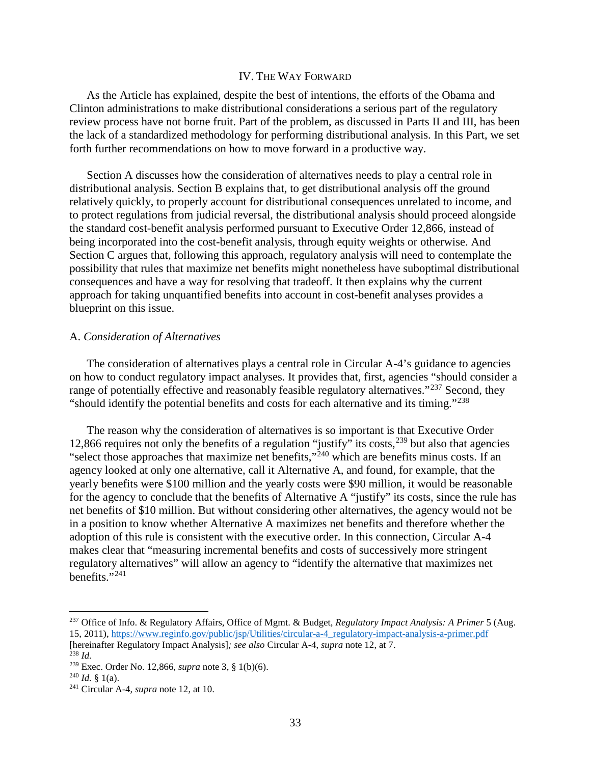#### IV. THE WAY FORWARD

<span id="page-32-0"></span>As the Article has explained, despite the best of intentions, the efforts of the Obama and Clinton administrations to make distributional considerations a serious part of the regulatory review process have not borne fruit. Part of the problem, as discussed in Parts II and III, has been the lack of a standardized methodology for performing distributional analysis. In this Part, we set forth further recommendations on how to move forward in a productive way.

Section A discusses how the consideration of alternatives needs to play a central role in distributional analysis. Section B explains that, to get distributional analysis off the ground relatively quickly, to properly account for distributional consequences unrelated to income, and to protect regulations from judicial reversal, the distributional analysis should proceed alongside the standard cost-benefit analysis performed pursuant to Executive Order 12,866, instead of being incorporated into the cost-benefit analysis, through equity weights or otherwise. And Section C argues that, following this approach, regulatory analysis will need to contemplate the possibility that rules that maximize net benefits might nonetheless have suboptimal distributional consequences and have a way for resolving that tradeoff. It then explains why the current approach for taking unquantified benefits into account in cost-benefit analyses provides a blueprint on this issue.

### <span id="page-32-1"></span>A. *Consideration of Alternatives*

<span id="page-32-9"></span>The consideration of alternatives plays a central role in Circular A-4's guidance to agencies on how to conduct regulatory impact analyses. It provides that, first, agencies "should consider a range of potentially effective and reasonably feasible regulatory alternatives."<sup>[237](#page-32-4)</sup> Second, they "should identify the potential benefits and costs for each alternative and its timing."[238](#page-32-5)

<span id="page-32-2"></span>The reason why the consideration of alternatives is so important is that Executive Order 12,866 requires not only the benefits of a regulation "justify" its costs,<sup>[239](#page-32-6)</sup> but also that agencies "select those approaches that maximize net benefits,"[240](#page-32-7) which are benefits minus costs. If an agency looked at only one alternative, call it Alternative A, and found, for example, that the yearly benefits were \$100 million and the yearly costs were \$90 million, it would be reasonable for the agency to conclude that the benefits of Alternative A "justify" its costs, since the rule has net benefits of \$10 million. But without considering other alternatives, the agency would not be in a position to know whether Alternative A maximizes net benefits and therefore whether the adoption of this rule is consistent with the executive order. In this connection, Circular A-4 makes clear that "measuring incremental benefits and costs of successively more stringent regulatory alternatives" will allow an agency to "identify the alternative that maximizes net benefits." $^{241}$  $^{241}$  $^{241}$ 

<span id="page-32-4"></span><span id="page-32-3"></span> <sup>237</sup> Office of Info. & Regulatory Affairs, Office of Mgmt. & Budget, *Regulatory Impact Analysis: A Primer* 5 (Aug. 15, 2011), [https://www.reginfo.gov/public/jsp/Utilities/circular-a-4\\_regulatory-impact-analysis-a-primer.pdf](https://www.reginfo.gov/public/jsp/Utilities/circular-a-4_regulatory-impact-analysis-a-primer.pdf)

<sup>[</sup>hereinafter Regulatory Impact Analysis]*; see also* Circular A-4, *supra* not[e 12,](#page-3-2) at 7. <sup>238</sup> *Id.*

<span id="page-32-6"></span><span id="page-32-5"></span><sup>239</sup> Exec. Order No. 12,866, *supra* note [3,](#page-1-6) § 1(b)(6).

<span id="page-32-7"></span> $^{240}$  *Id.*  $\frac{8}{1}$  1(a).

<span id="page-32-8"></span><sup>241</sup> Circular A-4, *supra* note [12,](#page-3-2) at 10.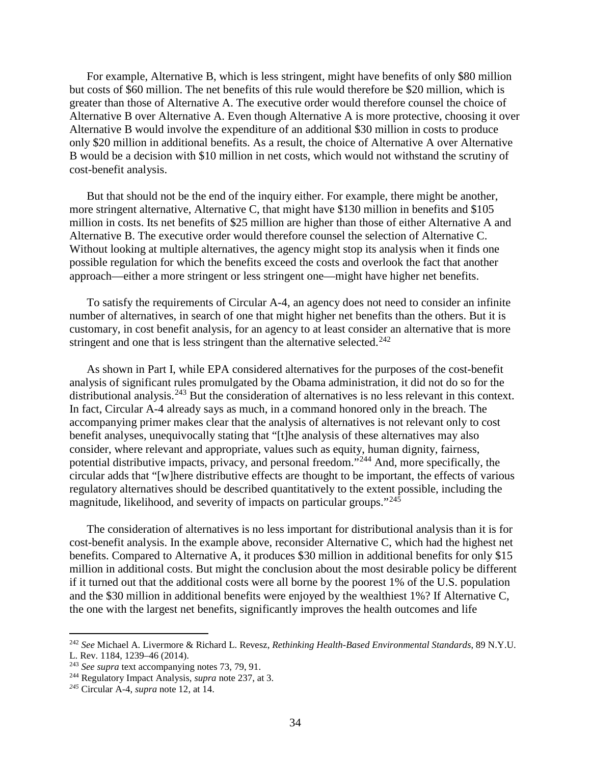For example, Alternative B, which is less stringent, might have benefits of only \$80 million but costs of \$60 million. The net benefits of this rule would therefore be \$20 million, which is greater than those of Alternative A. The executive order would therefore counsel the choice of Alternative B over Alternative A. Even though Alternative A is more protective, choosing it over Alternative B would involve the expenditure of an additional \$30 million in costs to produce only \$20 million in additional benefits. As a result, the choice of Alternative A over Alternative B would be a decision with \$10 million in net costs, which would not withstand the scrutiny of cost-benefit analysis.

But that should not be the end of the inquiry either. For example, there might be another, more stringent alternative, Alternative C, that might have \$130 million in benefits and \$105 million in costs. Its net benefits of \$25 million are higher than those of either Alternative A and Alternative B. The executive order would therefore counsel the selection of Alternative C. Without looking at multiple alternatives, the agency might stop its analysis when it finds one possible regulation for which the benefits exceed the costs and overlook the fact that another approach—either a more stringent or less stringent one—might have higher net benefits.

To satisfy the requirements of Circular A-4, an agency does not need to consider an infinite number of alternatives, in search of one that might higher net benefits than the others. But it is customary, in cost benefit analysis, for an agency to at least consider an alternative that is more stringent and one that is less stringent than the alternative selected.<sup>[242](#page-33-0)</sup>

As shown in Part I, while EPA considered alternatives for the purposes of the cost-benefit analysis of significant rules promulgated by the Obama administration, it did not do so for the distributional analysis.<sup>[243](#page-33-1)</sup> But the consideration of alternatives is no less relevant in this context. In fact, Circular A-4 already says as much, in a command honored only in the breach. The accompanying primer makes clear that the analysis of alternatives is not relevant only to cost benefit analyses, unequivocally stating that "[t]he analysis of these alternatives may also consider, where relevant and appropriate, values such as equity, human dignity, fairness, potential distributive impacts, privacy, and personal freedom."[244](#page-33-2) And, more specifically, the circular adds that "[w]here distributive effects are thought to be important, the effects of various regulatory alternatives should be described quantitatively to the extent possible, including the magnitude, likelihood, and severity of impacts on particular groups."[245](#page-33-3)

The consideration of alternatives is no less important for distributional analysis than it is for cost-benefit analysis. In the example above, reconsider Alternative C, which had the highest net benefits. Compared to Alternative A, it produces \$30 million in additional benefits for only \$15 million in additional costs. But might the conclusion about the most desirable policy be different if it turned out that the additional costs were all borne by the poorest 1% of the U.S. population and the \$30 million in additional benefits were enjoyed by the wealthiest 1%? If Alternative C, the one with the largest net benefits, significantly improves the health outcomes and life

<span id="page-33-0"></span> <sup>242</sup> *See* Michael A. Livermore & Richard L. Revesz, *Rethinking Health-Based Environmental Standards*, 89 N.Y.U. L. Rev. 1184, 1239–46 (2014).

<span id="page-33-1"></span><sup>243</sup> *See supra* text accompanying notes [73,](#page-10-0) [79,](#page-11-0) [91.](#page-12-1)

<span id="page-33-2"></span><sup>244</sup> Regulatory Impact Analysis, *supra* note [237,](#page-32-9) at 3.

<span id="page-33-3"></span>*<sup>245</sup>* Circular A-4, *supra* note [12,](#page-3-2) at 14.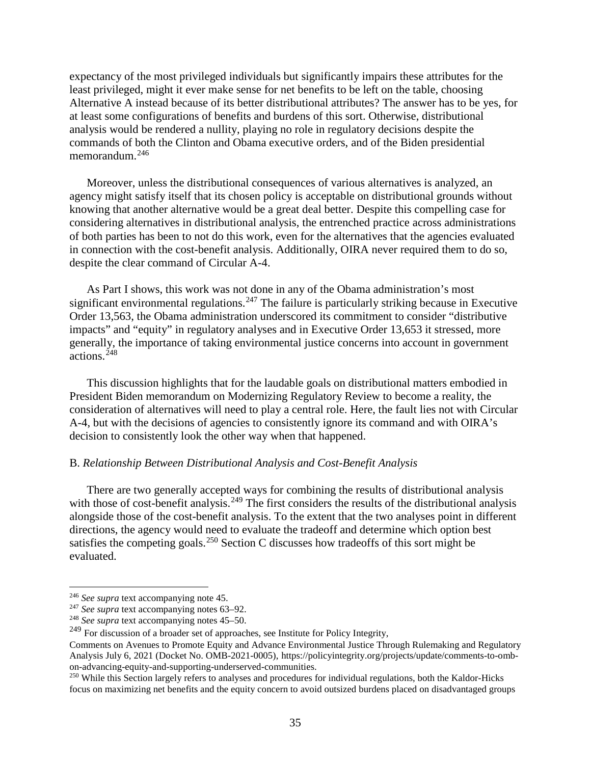expectancy of the most privileged individuals but significantly impairs these attributes for the least privileged, might it ever make sense for net benefits to be left on the table, choosing Alternative A instead because of its better distributional attributes? The answer has to be yes, for at least some configurations of benefits and burdens of this sort. Otherwise, distributional analysis would be rendered a nullity, playing no role in regulatory decisions despite the commands of both the Clinton and Obama executive orders, and of the Biden presidential memorandum. [246](#page-34-1)

Moreover, unless the distributional consequences of various alternatives is analyzed, an agency might satisfy itself that its chosen policy is acceptable on distributional grounds without knowing that another alternative would be a great deal better. Despite this compelling case for considering alternatives in distributional analysis, the entrenched practice across administrations of both parties has been to not do this work, even for the alternatives that the agencies evaluated in connection with the cost-benefit analysis. Additionally, OIRA never required them to do so, despite the clear command of Circular A-4.

As Part I shows, this work was not done in any of the Obama administration's most significant environmental regulations.<sup>[247](#page-34-2)</sup> The failure is particularly striking because in Executive Order 13,563, the Obama administration underscored its commitment to consider "distributive impacts" and "equity" in regulatory analyses and in Executive Order 13,653 it stressed, more generally, the importance of taking environmental justice concerns into account in government  $\arctan s$ <sup>[248](#page-34-3)</sup>

This discussion highlights that for the laudable goals on distributional matters embodied in President Biden memorandum on Modernizing Regulatory Review to become a reality, the consideration of alternatives will need to play a central role. Here, the fault lies not with Circular A-4, but with the decisions of agencies to consistently ignore its command and with OIRA's decision to consistently look the other way when that happened.

#### <span id="page-34-0"></span>B. *Relationship Between Distributional Analysis and Cost-Benefit Analysis*

There are two generally accepted ways for combining the results of distributional analysis with those of cost-benefit analysis.<sup>[249](#page-34-4)</sup> The first considers the results of the distributional analysis alongside those of the cost-benefit analysis. To the extent that the two analyses point in different directions, the agency would need to evaluate the tradeoff and determine which option best satisfies the competing goals.<sup>[250](#page-34-5)</sup> Section C discusses how tradeoffs of this sort might be evaluated.

<span id="page-34-1"></span> <sup>246</sup> *See supra* text accompanying note [45.](#page-7-11)

<span id="page-34-2"></span><sup>247</sup> *See supra* text accompanying notes [63–](#page-9-11)[92.](#page-12-6)

<sup>248</sup> *See supra* text accompanying notes [45–](#page-7-11)[50.](#page-7-12)

<span id="page-34-4"></span><span id="page-34-3"></span><sup>&</sup>lt;sup>249</sup> For discussion of a broader set of approaches, see Institute for Policy Integrity,

Comments on Avenues to Promote Equity and Advance Environmental Justice Through Rulemaking and Regulatory Analysis July 6, 2021 (Docket No. OMB-2021-0005), https://policyintegrity.org/projects/update/comments-to-ombon-advancing-equity-and-supporting-underserved-communities. 250 While this Section largely refers to analyses and procedures for individual regulations, both the Kaldor-Hicks

<span id="page-34-5"></span>focus on maximizing net benefits and the equity concern to avoid outsized burdens placed on disadvantaged groups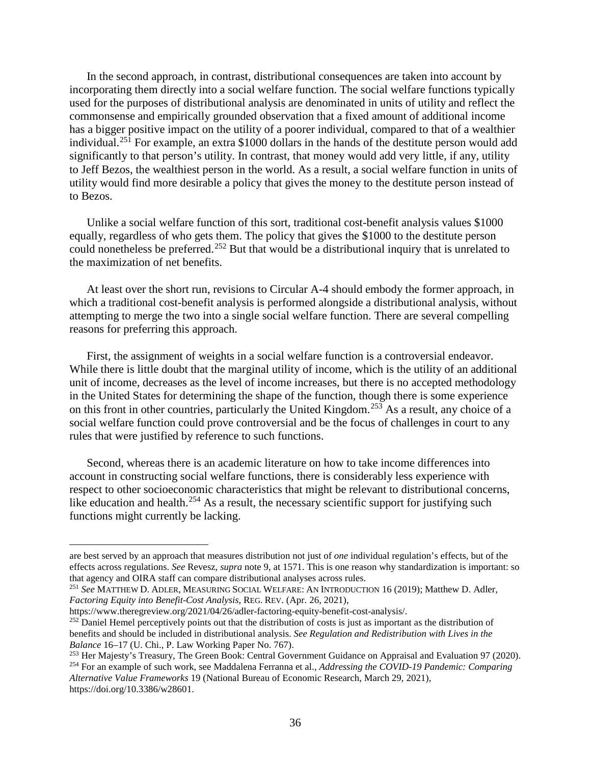In the second approach, in contrast, distributional consequences are taken into account by incorporating them directly into a social welfare function. The social welfare functions typically used for the purposes of distributional analysis are denominated in units of utility and reflect the commonsense and empirically grounded observation that a fixed amount of additional income has a bigger positive impact on the utility of a poorer individual, compared to that of a wealthier individual.[251](#page-35-0) For example, an extra \$1000 dollars in the hands of the destitute person would add significantly to that person's utility. In contrast, that money would add very little, if any, utility to Jeff Bezos, the wealthiest person in the world. As a result, a social welfare function in units of utility would find more desirable a policy that gives the money to the destitute person instead of to Bezos.

Unlike a social welfare function of this sort, traditional cost-benefit analysis values \$1000 equally, regardless of who gets them. The policy that gives the \$1000 to the destitute person could nonetheless be preferred.<sup>[252](#page-35-1)</sup> But that would be a distributional inquiry that is unrelated to the maximization of net benefits.

At least over the short run, revisions to Circular A-4 should embody the former approach, in which a traditional cost-benefit analysis is performed alongside a distributional analysis, without attempting to merge the two into a single social welfare function. There are several compelling reasons for preferring this approach.

First, the assignment of weights in a social welfare function is a controversial endeavor. While there is little doubt that the marginal utility of income, which is the utility of an additional unit of income, decreases as the level of income increases, but there is no accepted methodology in the United States for determining the shape of the function, though there is some experience on this front in other countries, particularly the United Kingdom.<sup>[253](#page-35-2)</sup> As a result, any choice of a social welfare function could prove controversial and be the focus of challenges in court to any rules that were justified by reference to such functions.

Second, whereas there is an academic literature on how to take income differences into account in constructing social welfare functions, there is considerably less experience with respect to other socioeconomic characteristics that might be relevant to distributional concerns, like education and health.<sup>[254](#page-35-3)</sup> As a result, the necessary scientific support for justifying such functions might currently be lacking.

are best served by an approach that measures distribution not just of *one* individual regulation's effects, but of the effects across regulations. *See* Revesz, *supra* note 9, at 1571. This is one reason why standardization is important: so that agency and OIRA staff can compare distributional analyses across rules.

<span id="page-35-0"></span><sup>251</sup> *See* MATTHEW D. ADLER, MEASURING SOCIAL WELFARE: AN INTRODUCTION 16 (2019); Matthew D. Adler, *Factoring Equity into Benefit-Cost Analysis*, REG. REV. (Apr. 26, 2021),

<span id="page-35-1"></span> $\frac{252}{252}$  Daniel Hemel perceptively points out that the distribution of costs is just as important as the distribution of benefits and should be included in distributional analysis. *See Regulation and Redistribution with Lives in the Balance* 16–17 (U. Chi., P. Law Working Paper No. 767).

<span id="page-35-2"></span><sup>253</sup> Her Majesty's Treasury, The Green Book: Central Government Guidance on Appraisal and Evaluation 97 (2020). <sup>254</sup> For an example of such work, see Maddalena Ferranna et al.*, Addressing the COVID-19 Pandemic: Comparing* 

<span id="page-35-3"></span>*Alternative Value Frameworks* 19 (National Bureau of Economic Research, March 29, 2021), https://doi.org/10.3386/w28601.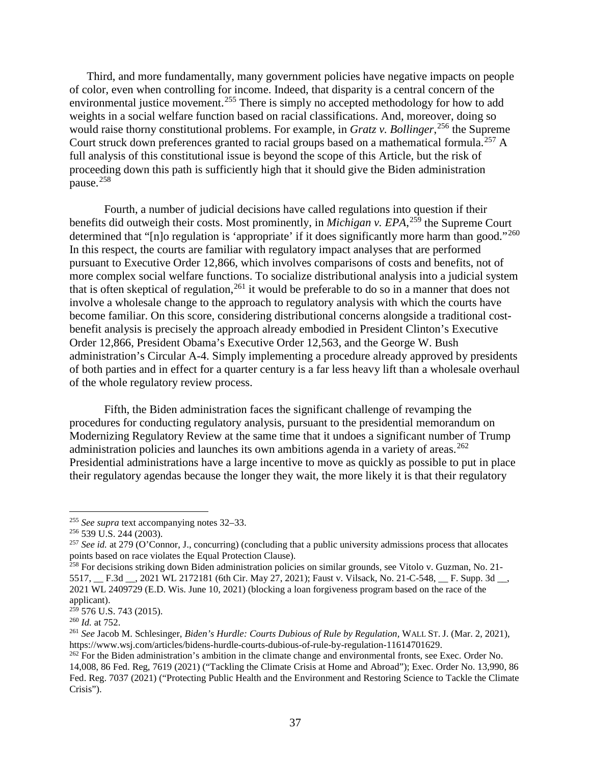Third, and more fundamentally, many government policies have negative impacts on people of color, even when controlling for income. Indeed, that disparity is a central concern of the environmental justice movement.<sup>[255](#page-36-0)</sup> There is simply no accepted methodology for how to add weights in a social welfare function based on racial classifications. And, moreover, doing so would raise thorny constitutional problems. For example, in *Gratz v. Bollinger*, [256](#page-36-1) the Supreme Court struck down preferences granted to racial groups based on a mathematical formula.<sup>[257](#page-36-2)</sup> A full analysis of this constitutional issue is beyond the scope of this Article, but the risk of proceeding down this path is sufficiently high that it should give the Biden administration pause.<sup>[258](#page-36-3)</sup>

Fourth, a number of judicial decisions have called regulations into question if their benefits did outweigh their costs. Most prominently, in *Michigan v. EPA*, [259](#page-36-4) the Supreme Court determined that "[n]o regulation is 'appropriate' if it does significantly more harm than good."<sup>[260](#page-36-5)</sup> In this respect, the courts are familiar with regulatory impact analyses that are performed pursuant to Executive Order 12,866, which involves comparisons of costs and benefits, not of more complex social welfare functions. To socialize distributional analysis into a judicial system that is often skeptical of regulation,<sup>[261](#page-36-6)</sup> it would be preferable to do so in a manner that does not involve a wholesale change to the approach to regulatory analysis with which the courts have become familiar. On this score, considering distributional concerns alongside a traditional costbenefit analysis is precisely the approach already embodied in President Clinton's Executive Order 12,866, President Obama's Executive Order 12,563, and the George W. Bush administration's Circular A-4. Simply implementing a procedure already approved by presidents of both parties and in effect for a quarter century is a far less heavy lift than a wholesale overhaul of the whole regulatory review process.

Fifth, the Biden administration faces the significant challenge of revamping the procedures for conducting regulatory analysis, pursuant to the presidential memorandum on Modernizing Regulatory Review at the same time that it undoes a significant number of Trump administration policies and launches its own ambitions agenda in a variety of areas.<sup>[262](#page-36-7)</sup> Presidential administrations have a large incentive to move as quickly as possible to put in place their regulatory agendas because the longer they wait, the more likely it is that their regulatory

<span id="page-36-0"></span> <sup>255</sup> *See supra* text accompanying notes [32–](#page-5-10)[33.](#page-5-2)

<span id="page-36-1"></span><sup>256</sup> 539 U.S. 244 (2003).

<span id="page-36-2"></span><sup>&</sup>lt;sup>257</sup> See id. at 279 (O'Connor, J., concurring) (concluding that a public university admissions process that allocates points based on race violates the Equal Protection Clause).

<span id="page-36-3"></span><sup>&</sup>lt;sup>258</sup> For decisions striking down Biden administration policies on similar grounds, see Vitolo v. Guzman, No. 21-5517, \_\_ F.3d \_\_, 2021 WL 2172181 (6th Cir. May 27, 2021); Faust v. Vilsack, No. 21-C-548, \_\_ F. Supp. 3d \_\_, 2021 WL 2409729 (E.D. Wis. June 10, 2021) (blocking a loan forgiveness program based on the race of the applicant).

<span id="page-36-4"></span> $259$  576 U.S. 743 (2015).

<span id="page-36-5"></span><sup>260</sup> *Id.* at 752.

<span id="page-36-6"></span><sup>261</sup> *See* Jacob M. Schlesinger, *Biden's Hurdle: Courts Dubious of Rule by Regulation,* WALL ST. J. (Mar. 2, 2021), https://www.wsj.com/articles/bidens-hurdle-courts-dubious-of-rule-by-regulation-11614701629.

<span id="page-36-7"></span><sup>&</sup>lt;sup>262</sup> For the Biden administration's ambition in the climate change and environmental fronts, see Exec. Order No. 14,008, 86 Fed. Reg, 7619 (2021) ("Tackling the Climate Crisis at Home and Abroad"); Exec. Order No. 13,990, 86 Fed. Reg. 7037 (2021) ("Protecting Public Health and the Environment and Restoring Science to Tackle the Climate Crisis").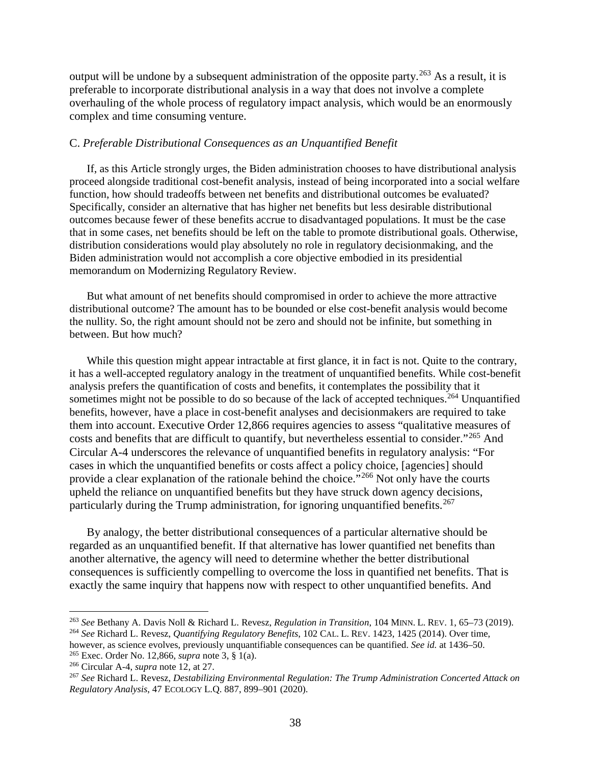output will be undone by a subsequent administration of the opposite party.[263](#page-37-1) As a result, it is preferable to incorporate distributional analysis in a way that does not involve a complete overhauling of the whole process of regulatory impact analysis, which would be an enormously complex and time consuming venture.

### <span id="page-37-0"></span>C. *Preferable Distributional Consequences as an Unquantified Benefit*

If, as this Article strongly urges, the Biden administration chooses to have distributional analysis proceed alongside traditional cost-benefit analysis, instead of being incorporated into a social welfare function, how should tradeoffs between net benefits and distributional outcomes be evaluated? Specifically, consider an alternative that has higher net benefits but less desirable distributional outcomes because fewer of these benefits accrue to disadvantaged populations. It must be the case that in some cases, net benefits should be left on the table to promote distributional goals. Otherwise, distribution considerations would play absolutely no role in regulatory decisionmaking, and the Biden administration would not accomplish a core objective embodied in its presidential memorandum on Modernizing Regulatory Review.

But what amount of net benefits should compromised in order to achieve the more attractive distributional outcome? The amount has to be bounded or else cost-benefit analysis would become the nullity. So, the right amount should not be zero and should not be infinite, but something in between. But how much?

While this question might appear intractable at first glance, it in fact is not. Quite to the contrary, it has a well-accepted regulatory analogy in the treatment of unquantified benefits. While cost-benefit analysis prefers the quantification of costs and benefits, it contemplates the possibility that it sometimes might not be possible to do so because of the lack of accepted techniques.<sup>[264](#page-37-2)</sup> Unquantified benefits, however, have a place in cost-benefit analyses and decisionmakers are required to take them into account. Executive Order 12,866 requires agencies to assess "qualitative measures of costs and benefits that are difficult to quantify, but nevertheless essential to consider."[265](#page-37-3) And Circular A-4 underscores the relevance of unquantified benefits in regulatory analysis: "For cases in which the unquantified benefits or costs affect a policy choice, [agencies] should provide a clear explanation of the rationale behind the choice."[266](#page-37-4) Not only have the courts upheld the reliance on unquantified benefits but they have struck down agency decisions, particularly during the Trump administration, for ignoring unquantified benefits.<sup>[267](#page-37-5)</sup>

By analogy, the better distributional consequences of a particular alternative should be regarded as an unquantified benefit. If that alternative has lower quantified net benefits than another alternative, the agency will need to determine whether the better distributional consequences is sufficiently compelling to overcome the loss in quantified net benefits. That is exactly the same inquiry that happens now with respect to other unquantified benefits. And

<span id="page-37-1"></span> <sup>263</sup> *See* Bethany A. Davis Noll & Richard L. Revesz, *Regulation in Transition*, 104 MINN. L. REV. 1, 65–73 (2019). <sup>264</sup> *See* Richard L. Revesz, *Quantifying Regulatory Benefits*, 102 CAL. L. REV. 1423, 1425 (2014). Over time,

<span id="page-37-2"></span>however, as science evolves, previously unquantifiable consequences can be quantified. *See id.* at 1436–50. <sup>265</sup> Exec. Order No. 12,866, *supra* note [3,](#page-1-6) § 1(a).

<span id="page-37-4"></span><span id="page-37-3"></span><sup>266</sup> Circular A-4, *supra* note [12,](#page-3-2) at 27.

<span id="page-37-5"></span><sup>267</sup> *See* Richard L. Revesz, *Destabilizing Environmental Regulation: The Trump Administration Concerted Attack on Regulatory Analysis*, 47 ECOLOGY L.Q. 887, 899–901 (2020).